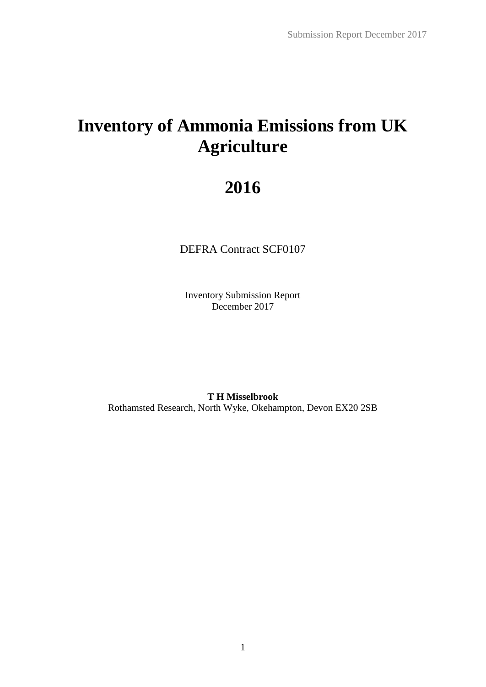# **Inventory of Ammonia Emissions from UK Agriculture**

# **2016**

DEFRA Contract SCF0107

Inventory Submission Report December 2017

**T H Misselbrook** Rothamsted Research, North Wyke, Okehampton, Devon EX20 2SB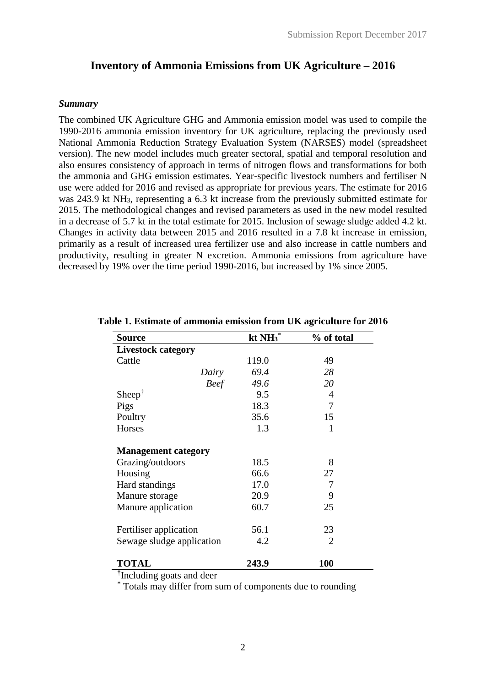# **Inventory of Ammonia Emissions from UK Agriculture – 2016**

### *Summary*

The combined UK Agriculture GHG and Ammonia emission model was used to compile the 1990-2016 ammonia emission inventory for UK agriculture, replacing the previously used National Ammonia Reduction Strategy Evaluation System (NARSES) model (spreadsheet version). The new model includes much greater sectoral, spatial and temporal resolution and also ensures consistency of approach in terms of nitrogen flows and transformations for both the ammonia and GHG emission estimates. Year-specific livestock numbers and fertiliser N use were added for 2016 and revised as appropriate for previous years. The estimate for 2016 was 243.9 kt NH<sub>3</sub>, representing a 6.3 kt increase from the previously submitted estimate for 2015. The methodological changes and revised parameters as used in the new model resulted in a decrease of 5.7 kt in the total estimate for 2015. Inclusion of sewage sludge added 4.2 kt. Changes in activity data between 2015 and 2016 resulted in a 7.8 kt increase in emission, primarily as a result of increased urea fertilizer use and also increase in cattle numbers and productivity, resulting in greater N excretion. Ammonia emissions from agriculture have decreased by 19% over the time period 1990-2016, but increased by 1% since 2005.

| <b>Source</b>              | kt $NH_3^*$ | % of total     |
|----------------------------|-------------|----------------|
| <b>Livestock category</b>  |             |                |
| Cattle                     | 119.0       | 49             |
| Dairy                      | 69.4        | 28             |
| <b>Beef</b>                | 49.6        | 20             |
| $Sheep^{\dagger}$          | 9.5         | $\overline{4}$ |
| Pigs                       | 18.3        | 7              |
| Poultry                    | 35.6        | 15             |
| Horses                     | 1.3         | 1              |
| <b>Management category</b> |             |                |
| Grazing/outdoors           | 18.5        | 8              |
| Housing                    | 66.6        | 27             |
| Hard standings             | 17.0        | 7              |
| Manure storage             | 20.9        | 9              |
| Manure application         | 60.7        | 25             |
| Fertiliser application     | 56.1        | 23             |
| Sewage sludge application  | 4.2         | $\overline{2}$ |
| <b>TOTAL</b>               | 243.9       | <b>100</b>     |

#### **Table 1. Estimate of ammonia emission from UK agriculture for 2016**

† Including goats and deer

\* Totals may differ from sum of components due to rounding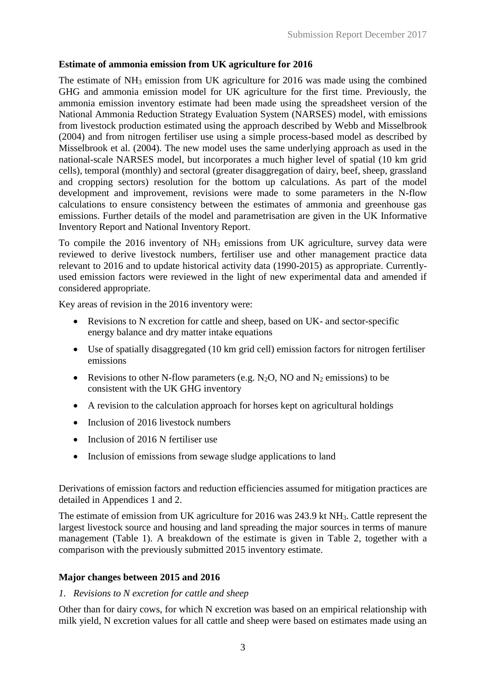## **Estimate of ammonia emission from UK agriculture for 2016**

The estimate of NH<sup>3</sup> emission from UK agriculture for 2016 was made using the combined GHG and ammonia emission model for UK agriculture for the first time. Previously, the ammonia emission inventory estimate had been made using the spreadsheet version of the National Ammonia Reduction Strategy Evaluation System (NARSES) model, with emissions from livestock production estimated using the approach described by Webb and Misselbrook (2004) and from nitrogen fertiliser use using a simple process-based model as described by Misselbrook et al. (2004). The new model uses the same underlying approach as used in the national-scale NARSES model, but incorporates a much higher level of spatial (10 km grid cells), temporal (monthly) and sectoral (greater disaggregation of dairy, beef, sheep, grassland and cropping sectors) resolution for the bottom up calculations. As part of the model development and improvement, revisions were made to some parameters in the N-flow calculations to ensure consistency between the estimates of ammonia and greenhouse gas emissions. Further details of the model and parametrisation are given in the UK Informative Inventory Report and National Inventory Report.

To compile the 2016 inventory of NH<sup>3</sup> emissions from UK agriculture, survey data were reviewed to derive livestock numbers, fertiliser use and other management practice data relevant to 2016 and to update historical activity data (1990-2015) as appropriate. Currentlyused emission factors were reviewed in the light of new experimental data and amended if considered appropriate.

Key areas of revision in the 2016 inventory were:

- Revisions to N excretion for cattle and sheep, based on UK- and sector-specific energy balance and dry matter intake equations
- Use of spatially disaggregated (10 km grid cell) emission factors for nitrogen fertiliser emissions
- Revisions to other N-flow parameters (e.g. N<sub>2</sub>O, NO and N<sub>2</sub> emissions) to be consistent with the UK GHG inventory
- A revision to the calculation approach for horses kept on agricultural holdings
- Inclusion of 2016 livestock numbers
- Inclusion of 2016 N fertiliser use
- Inclusion of emissions from sewage sludge applications to land

Derivations of emission factors and reduction efficiencies assumed for mitigation practices are detailed in Appendices 1 and 2.

The estimate of emission from UK agriculture for 2016 was 243.9 kt NH3. Cattle represent the largest livestock source and housing and land spreading the major sources in terms of manure management (Table 1). A breakdown of the estimate is given in Table 2, together with a comparison with the previously submitted 2015 inventory estimate.

### **Major changes between 2015 and 2016**

### *1. Revisions to N excretion for cattle and sheep*

Other than for dairy cows, for which N excretion was based on an empirical relationship with milk yield, N excretion values for all cattle and sheep were based on estimates made using an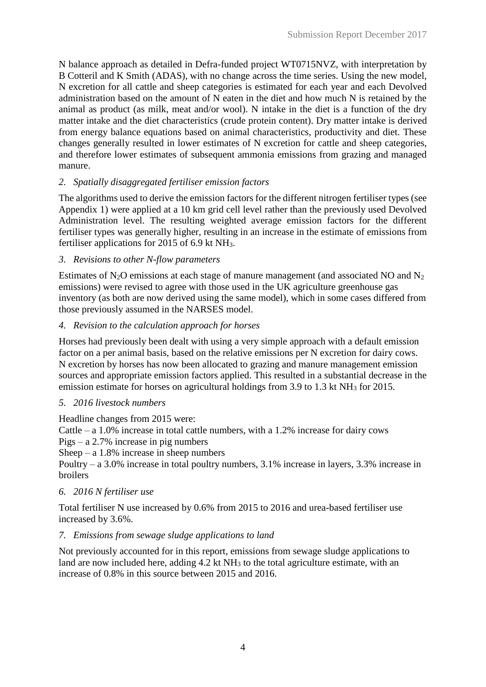N balance approach as detailed in Defra-funded project WT0715NVZ, with interpretation by B Cotteril and K Smith (ADAS), with no change across the time series. Using the new model, N excretion for all cattle and sheep categories is estimated for each year and each Devolved administration based on the amount of N eaten in the diet and how much N is retained by the animal as product (as milk, meat and/or wool). N intake in the diet is a function of the dry matter intake and the diet characteristics (crude protein content). Dry matter intake is derived from energy balance equations based on animal characteristics, productivity and diet. These changes generally resulted in lower estimates of N excretion for cattle and sheep categories, and therefore lower estimates of subsequent ammonia emissions from grazing and managed manure.

## *2. Spatially disaggregated fertiliser emission factors*

The algorithms used to derive the emission factors for the different nitrogen fertiliser types (see Appendix 1) were applied at a 10 km grid cell level rather than the previously used Devolved Administration level. The resulting weighted average emission factors for the different fertiliser types was generally higher, resulting in an increase in the estimate of emissions from fertiliser applications for 2015 of 6.9 kt NH3.

## *3. Revisions to other N-flow parameters*

Estimates of  $N_2O$  emissions at each stage of manure management (and associated NO and  $N_2$ ) emissions) were revised to agree with those used in the UK agriculture greenhouse gas inventory (as both are now derived using the same model), which in some cases differed from those previously assumed in the NARSES model.

## *4. Revision to the calculation approach for horses*

Horses had previously been dealt with using a very simple approach with a default emission factor on a per animal basis, based on the relative emissions per N excretion for dairy cows. N excretion by horses has now been allocated to grazing and manure management emission sources and appropriate emission factors applied. This resulted in a substantial decrease in the emission estimate for horses on agricultural holdings from 3.9 to 1.3 kt NH<sub>3</sub> for 2015.

## *5. 2016 livestock numbers*

Headline changes from 2015 were:

Cattle – a  $1.0\%$  increase in total cattle numbers, with a  $1.2\%$  increase for dairy cows Pigs – a 2.7% increase in pig numbers

Sheep – a  $1.8\%$  increase in sheep numbers

Poultry – a 3.0% increase in total poultry numbers, 3.1% increase in layers, 3.3% increase in broilers

## *6. 2016 N fertiliser use*

Total fertiliser N use increased by 0.6% from 2015 to 2016 and urea-based fertiliser use increased by 3.6%.

## *7. Emissions from sewage sludge applications to land*

Not previously accounted for in this report, emissions from sewage sludge applications to land are now included here, adding 4.2 kt NH<sub>3</sub> to the total agriculture estimate, with an increase of 0.8% in this source between 2015 and 2016.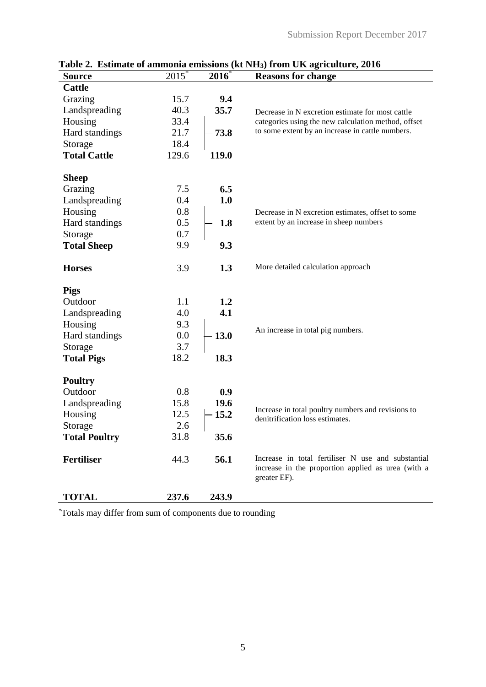| <b>Source</b>        | $2015^*$ | $2016*$ | radic 2. Estimate of animolia emissions (KC A13) from CIX agriculture, 2010<br><b>Reasons for change</b>                 |
|----------------------|----------|---------|--------------------------------------------------------------------------------------------------------------------------|
| <b>Cattle</b>        |          |         |                                                                                                                          |
| Grazing              | 15.7     | 9.4     |                                                                                                                          |
| Landspreading        | 40.3     | 35.7    | Decrease in N excretion estimate for most cattle                                                                         |
| Housing              | 33.4     |         | categories using the new calculation method, offset                                                                      |
| Hard standings       | 21.7     | 73.8    | to some extent by an increase in cattle numbers.                                                                         |
| Storage              | 18.4     |         |                                                                                                                          |
| <b>Total Cattle</b>  | 129.6    | 119.0   |                                                                                                                          |
| <b>Sheep</b>         |          |         |                                                                                                                          |
| Grazing              | 7.5      | 6.5     |                                                                                                                          |
| Landspreading        | 0.4      | 1.0     |                                                                                                                          |
| Housing              | 0.8      |         | Decrease in N excretion estimates, offset to some                                                                        |
| Hard standings       | 0.5      | 1.8     | extent by an increase in sheep numbers                                                                                   |
| Storage              | 0.7      |         |                                                                                                                          |
| <b>Total Sheep</b>   | 9.9      | 9.3     |                                                                                                                          |
| <b>Horses</b>        | 3.9      | 1.3     | More detailed calculation approach                                                                                       |
| <b>Pigs</b>          |          |         |                                                                                                                          |
| Outdoor              | 1.1      | 1.2     |                                                                                                                          |
| Landspreading        | 4.0      | 4.1     |                                                                                                                          |
| Housing              | 9.3      |         | An increase in total pig numbers.                                                                                        |
| Hard standings       | 0.0      | 13.0    |                                                                                                                          |
| Storage              | 3.7      |         |                                                                                                                          |
| <b>Total Pigs</b>    | 18.2     | 18.3    |                                                                                                                          |
| <b>Poultry</b>       |          |         |                                                                                                                          |
| Outdoor              | 0.8      | 0.9     |                                                                                                                          |
| Landspreading        | 15.8     | 19.6    |                                                                                                                          |
| Housing              | 12.5     | 15.2    | Increase in total poultry numbers and revisions to<br>denitrification loss estimates.                                    |
| Storage              | 2.6      |         |                                                                                                                          |
| <b>Total Poultry</b> | 31.8     | 35.6    |                                                                                                                          |
| <b>Fertiliser</b>    | 44.3     | 56.1    | Increase in total fertiliser N use and substantial<br>increase in the proportion applied as urea (with a<br>greater EF). |
| <b>TOTAL</b>         | 237.6    | 243.9   |                                                                                                                          |

**Table 2. Estimate of ammonia emissions (kt NH3) from UK agriculture, 2016**

\*Totals may differ from sum of components due to rounding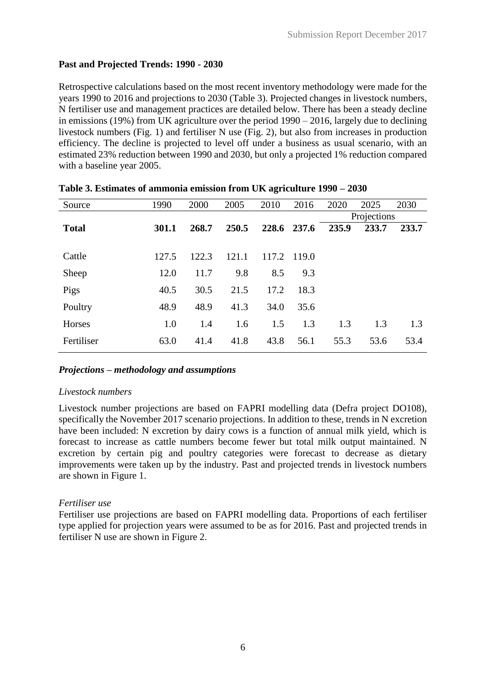# **Past and Projected Trends: 1990 - 2030**

Retrospective calculations based on the most recent inventory methodology were made for the years 1990 to 2016 and projections to 2030 (Table 3). Projected changes in livestock numbers, N fertiliser use and management practices are detailed below. There has been a steady decline in emissions (19%) from UK agriculture over the period 1990 – 2016, largely due to declining livestock numbers (Fig. 1) and fertiliser N use (Fig. 2), but also from increases in production efficiency. The decline is projected to level off under a business as usual scenario, with an estimated 23% reduction between 1990 and 2030, but only a projected 1% reduction compared with a baseline year 2005.

| Source       | 1990  | 2000  | 2005  | 2010  | 2016        | 2020  | 2025        | 2030  |
|--------------|-------|-------|-------|-------|-------------|-------|-------------|-------|
|              |       |       |       |       |             |       | Projections |       |
| <b>Total</b> | 301.1 | 268.7 | 250.5 |       | 228.6 237.6 | 235.9 | 233.7       | 233.7 |
|              |       |       |       |       |             |       |             |       |
| Cattle       | 127.5 | 122.3 | 121.1 | 117.2 | 119.0       |       |             |       |
| Sheep        | 12.0  | 11.7  | 9.8   | 8.5   | 9.3         |       |             |       |
| Pigs         | 40.5  | 30.5  | 21.5  | 17.2  | 18.3        |       |             |       |
| Poultry      | 48.9  | 48.9  | 41.3  | 34.0  | 35.6        |       |             |       |
| Horses       | 1.0   | 1.4   | 1.6   | 1.5   | 1.3         | 1.3   | 1.3         | 1.3   |
| Fertiliser   | 63.0  | 41.4  | 41.8  | 43.8  | 56.1        | 55.3  | 53.6        | 53.4  |

| Table 3. Estimates of ammonia emission from UK agriculture 1990 - 2030 |  |  |  |
|------------------------------------------------------------------------|--|--|--|
|------------------------------------------------------------------------|--|--|--|

## *Projections – methodology and assumptions*

### *Livestock numbers*

Livestock number projections are based on FAPRI modelling data (Defra project DO108), specifically the November 2017 scenario projections. In addition to these, trends in N excretion have been included: N excretion by dairy cows is a function of annual milk yield, which is forecast to increase as cattle numbers become fewer but total milk output maintained. N excretion by certain pig and poultry categories were forecast to decrease as dietary improvements were taken up by the industry. Past and projected trends in livestock numbers are shown in Figure 1.

## *Fertiliser use*

Fertiliser use projections are based on FAPRI modelling data. Proportions of each fertiliser type applied for projection years were assumed to be as for 2016. Past and projected trends in fertiliser N use are shown in Figure 2.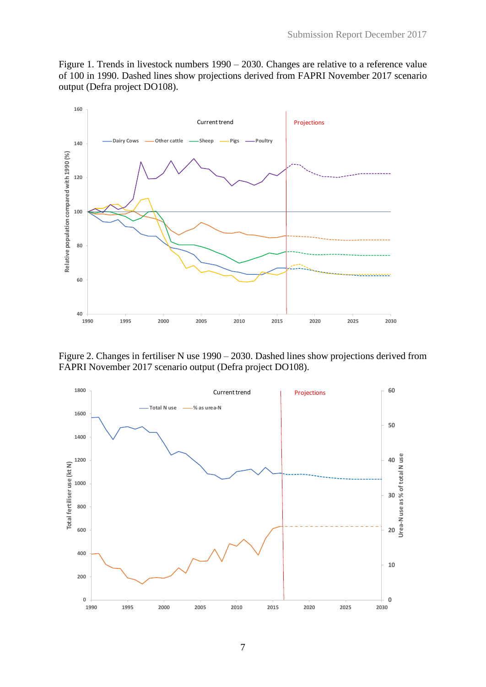Figure 1. Trends in livestock numbers 1990 – 2030. Changes are relative to a reference value of 100 in 1990. Dashed lines show projections derived from FAPRI November 2017 scenario output (Defra project DO108).



Figure 2. Changes in fertiliser N use 1990 – 2030. Dashed lines show projections derived from FAPRI November 2017 scenario output (Defra project DO108).

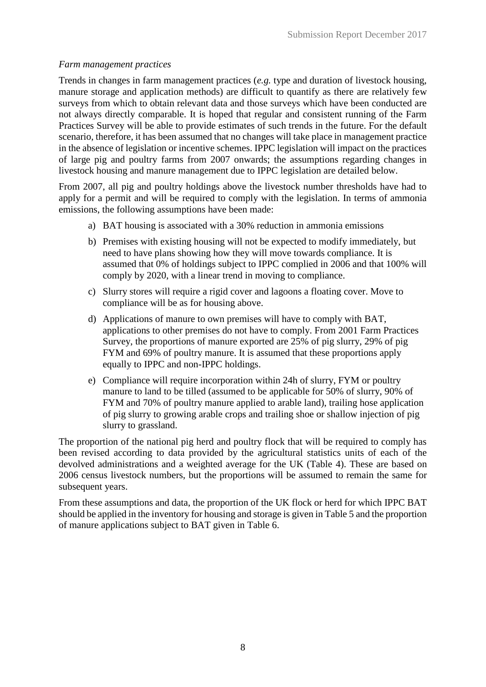## *Farm management practices*

Trends in changes in farm management practices (*e.g.* type and duration of livestock housing, manure storage and application methods) are difficult to quantify as there are relatively few surveys from which to obtain relevant data and those surveys which have been conducted are not always directly comparable. It is hoped that regular and consistent running of the Farm Practices Survey will be able to provide estimates of such trends in the future. For the default scenario, therefore, it has been assumed that no changes will take place in management practice in the absence of legislation or incentive schemes. IPPC legislation will impact on the practices of large pig and poultry farms from 2007 onwards; the assumptions regarding changes in livestock housing and manure management due to IPPC legislation are detailed below.

From 2007, all pig and poultry holdings above the livestock number thresholds have had to apply for a permit and will be required to comply with the legislation. In terms of ammonia emissions, the following assumptions have been made:

- a) BAT housing is associated with a 30% reduction in ammonia emissions
- b) Premises with existing housing will not be expected to modify immediately, but need to have plans showing how they will move towards compliance. It is assumed that 0% of holdings subject to IPPC complied in 2006 and that 100% will comply by 2020, with a linear trend in moving to compliance.
- c) Slurry stores will require a rigid cover and lagoons a floating cover. Move to compliance will be as for housing above.
- d) Applications of manure to own premises will have to comply with BAT, applications to other premises do not have to comply. From 2001 Farm Practices Survey, the proportions of manure exported are 25% of pig slurry, 29% of pig FYM and 69% of poultry manure. It is assumed that these proportions apply equally to IPPC and non-IPPC holdings.
- e) Compliance will require incorporation within 24h of slurry, FYM or poultry manure to land to be tilled (assumed to be applicable for 50% of slurry, 90% of FYM and 70% of poultry manure applied to arable land), trailing hose application of pig slurry to growing arable crops and trailing shoe or shallow injection of pig slurry to grassland.

The proportion of the national pig herd and poultry flock that will be required to comply has been revised according to data provided by the agricultural statistics units of each of the devolved administrations and a weighted average for the UK (Table 4). These are based on 2006 census livestock numbers, but the proportions will be assumed to remain the same for subsequent years.

From these assumptions and data, the proportion of the UK flock or herd for which IPPC BAT should be applied in the inventory for housing and storage is given in Table 5 and the proportion of manure applications subject to BAT given in Table 6.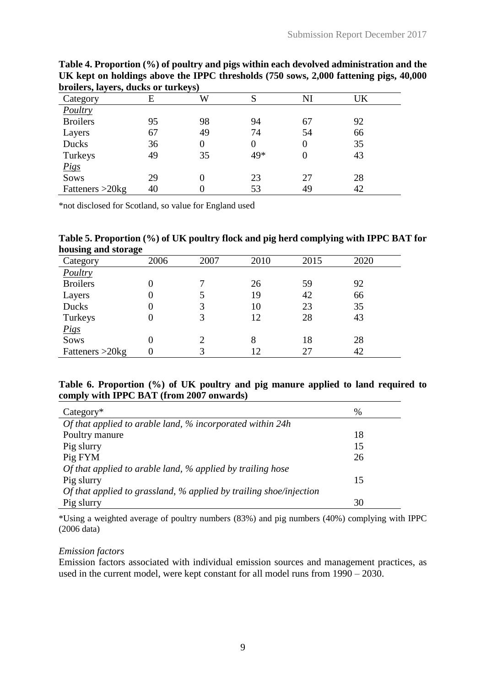|                    |    | $\cdots$ |     |          |    |  |
|--------------------|----|----------|-----|----------|----|--|
| Category           |    | W        |     | NI       | JK |  |
| Poultry            |    |          |     |          |    |  |
| <b>Broilers</b>    | 95 | 98       | 94  | 67       | 92 |  |
| Layers             | 67 | 49       | 74  | 54       | 66 |  |
| Ducks              | 36 |          | 0   | $\theta$ | 35 |  |
| Turkeys            | 49 | 35       | 49* |          | 43 |  |
| <u>Pigs</u>        |    |          |     |          |    |  |
| Sows               | 29 |          | 23  | 27       | 28 |  |
| Fatteners $>20$ kg | 40 |          | 53  | 49       | 42 |  |

**Table 4. Proportion (%) of poultry and pigs within each devolved administration and the UK kept on holdings above the IPPC thresholds (750 sows, 2,000 fattening pigs, 40,000 broilers, layers, ducks or turkeys)**

\*not disclosed for Scotland, so value for England used

|                     | Table 5. Proportion (%) of UK poultry flock and pig herd complying with IPPC BAT for |  |  |
|---------------------|--------------------------------------------------------------------------------------|--|--|
| housing and storage |                                                                                      |  |  |

| nousing and storage |      |      |      |      |      |
|---------------------|------|------|------|------|------|
| Category            | 2006 | 2007 | 2010 | 2015 | 2020 |
| Poultry             |      |      |      |      |      |
| <b>Broilers</b>     |      |      | 26   | 59   | 92   |
| Layers              | I)   |      | 19   | 42   | 66   |
| Ducks               | I)   |      | 10   | 23   | 35   |
| Turkeys             |      |      | 12   | 28   | 43   |
| <b>Pigs</b>         |      |      |      |      |      |
| Sows                | 0    |      | 8    | 18   | 28   |
| Fatteners $>20$ kg  |      |      | 12   | 27   | 42   |
|                     |      |      |      |      |      |

## **Table 6. Proportion (%) of UK poultry and pig manure applied to land required to comply with IPPC BAT (from 2007 onwards)**

| $Category*$                                                        | %  |
|--------------------------------------------------------------------|----|
| Of that applied to arable land, % incorporated within 24h          |    |
| Poultry manure                                                     | 18 |
| Pig slurry                                                         | 15 |
| Pig FYM                                                            | 26 |
| Of that applied to arable land, % applied by trailing hose         |    |
| Pig slurry                                                         | 15 |
| Of that applied to grassland, % applied by trailing shoe/injection |    |
| Pig slurry                                                         | 30 |

\*Using a weighted average of poultry numbers (83%) and pig numbers (40%) complying with IPPC (2006 data)

## *Emission factors*

Emission factors associated with individual emission sources and management practices, as used in the current model, were kept constant for all model runs from 1990 – 2030.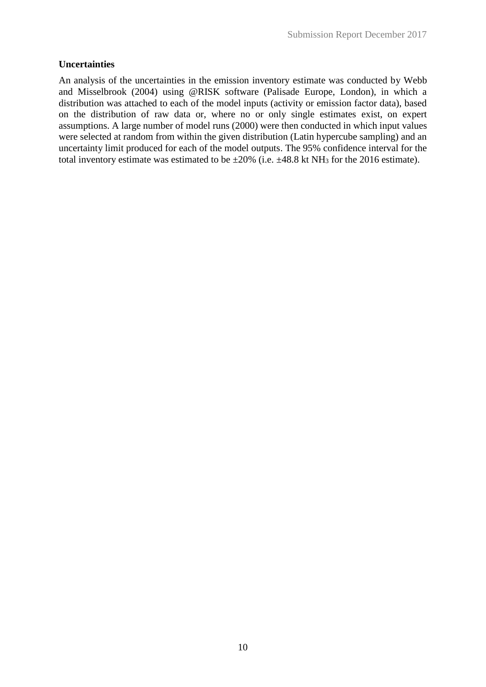## **Uncertainties**

An analysis of the uncertainties in the emission inventory estimate was conducted by Webb and Misselbrook (2004) using @RISK software (Palisade Europe, London), in which a distribution was attached to each of the model inputs (activity or emission factor data), based on the distribution of raw data or, where no or only single estimates exist, on expert assumptions. A large number of model runs (2000) were then conducted in which input values were selected at random from within the given distribution (Latin hypercube sampling) and an uncertainty limit produced for each of the model outputs. The 95% confidence interval for the total inventory estimate was estimated to be  $\pm 20\%$  (i.e.  $\pm 48.8$  kt NH<sub>3</sub> for the 2016 estimate).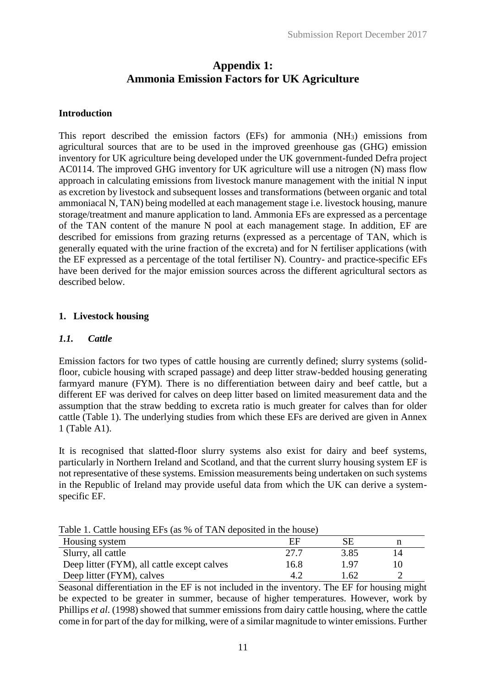# **Appendix 1: Ammonia Emission Factors for UK Agriculture**

## **Introduction**

This report described the emission factors  $(EFs)$  for ammonia  $(NH<sub>3</sub>)$  emissions from agricultural sources that are to be used in the improved greenhouse gas (GHG) emission inventory for UK agriculture being developed under the UK government-funded Defra project AC0114. The improved GHG inventory for UK agriculture will use a nitrogen (N) mass flow approach in calculating emissions from livestock manure management with the initial N input as excretion by livestock and subsequent losses and transformations (between organic and total ammoniacal N, TAN) being modelled at each management stage i.e. livestock housing, manure storage/treatment and manure application to land. Ammonia EFs are expressed as a percentage of the TAN content of the manure N pool at each management stage. In addition, EF are described for emissions from grazing returns (expressed as a percentage of TAN, which is generally equated with the urine fraction of the excreta) and for N fertiliser applications (with the EF expressed as a percentage of the total fertiliser N). Country- and practice-specific EFs have been derived for the major emission sources across the different agricultural sectors as described below.

## **1. Livestock housing**

## *1.1. Cattle*

Emission factors for two types of cattle housing are currently defined; slurry systems (solidfloor, cubicle housing with scraped passage) and deep litter straw-bedded housing generating farmyard manure (FYM). There is no differentiation between dairy and beef cattle, but a different EF was derived for calves on deep litter based on limited measurement data and the assumption that the straw bedding to excreta ratio is much greater for calves than for older cattle (Table 1). The underlying studies from which these EFs are derived are given in Annex 1 (Table A1).

It is recognised that slatted-floor slurry systems also exist for dairy and beef systems, particularly in Northern Ireland and Scotland, and that the current slurry housing system EF is not representative of these systems. Emission measurements being undertaken on such systems in the Republic of Ireland may provide useful data from which the UK can derive a systemspecific EF.

| Table 1. Cattle housing EFs (as % of TAN deposited in the house) |    |
|------------------------------------------------------------------|----|
| Housing system                                                   | SЕ |

| Housing system                              | EF    |      |    |
|---------------------------------------------|-------|------|----|
| Slurry, all cattle                          | -27.7 | 3.85 | 14 |
| Deep litter (FYM), all cattle except calves | 16.8  | 197  |    |
| Deep litter (FYM), calves                   | 4.2   | .62  |    |

Seasonal differentiation in the EF is not included in the inventory. The EF for housing might be expected to be greater in summer, because of higher temperatures. However, work by Phillips *et al*. (1998) showed that summer emissions from dairy cattle housing, where the cattle come in for part of the day for milking, were of a similar magnitude to winter emissions. Further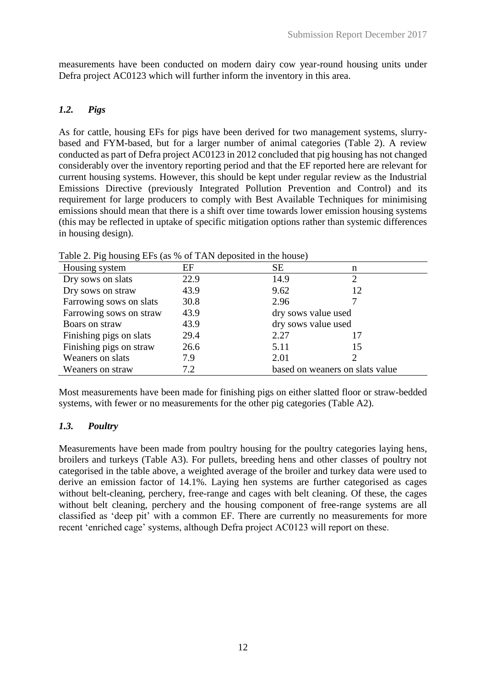measurements have been conducted on modern dairy cow year-round housing units under Defra project AC0123 which will further inform the inventory in this area.

# *1.2. Pigs*

As for cattle, housing EFs for pigs have been derived for two management systems, slurrybased and FYM-based, but for a larger number of animal categories (Table 2). A review conducted as part of Defra project AC0123 in 2012 concluded that pig housing has not changed considerably over the inventory reporting period and that the EF reported here are relevant for current housing systems. However, this should be kept under regular review as the Industrial Emissions Directive (previously Integrated Pollution Prevention and Control) and its requirement for large producers to comply with Best Available Techniques for minimising emissions should mean that there is a shift over time towards lower emission housing systems (this may be reflected in uptake of specific mitigation options rather than systemic differences in housing design).

| Housing system          | EF   | <b>SE</b>                       | n  |
|-------------------------|------|---------------------------------|----|
| Dry sows on slats       | 22.9 | 14.9                            | 2  |
| Dry sows on straw       | 43.9 | 9.62                            | 12 |
| Farrowing sows on slats | 30.8 | 2.96                            |    |
| Farrowing sows on straw | 43.9 | dry sows value used             |    |
| Boars on straw          | 43.9 | dry sows value used             |    |
| Finishing pigs on slats | 29.4 | 2.27                            | 17 |
| Finishing pigs on straw | 26.6 | 5.11                            | 15 |
| Weaners on slats        | 7.9  | 2.01                            |    |
| Weaners on straw        | 7.2  | based on weaners on slats value |    |

Table 2. Pig housing EFs (as % of TAN deposited in the house)

Most measurements have been made for finishing pigs on either slatted floor or straw-bedded systems, with fewer or no measurements for the other pig categories (Table A2).

# *1.3. Poultry*

Measurements have been made from poultry housing for the poultry categories laying hens, broilers and turkeys (Table A3). For pullets, breeding hens and other classes of poultry not categorised in the table above, a weighted average of the broiler and turkey data were used to derive an emission factor of 14.1%. Laying hen systems are further categorised as cages without belt-cleaning, perchery, free-range and cages with belt cleaning. Of these, the cages without belt cleaning, perchery and the housing component of free-range systems are all classified as 'deep pit' with a common EF. There are currently no measurements for more recent 'enriched cage' systems, although Defra project AC0123 will report on these.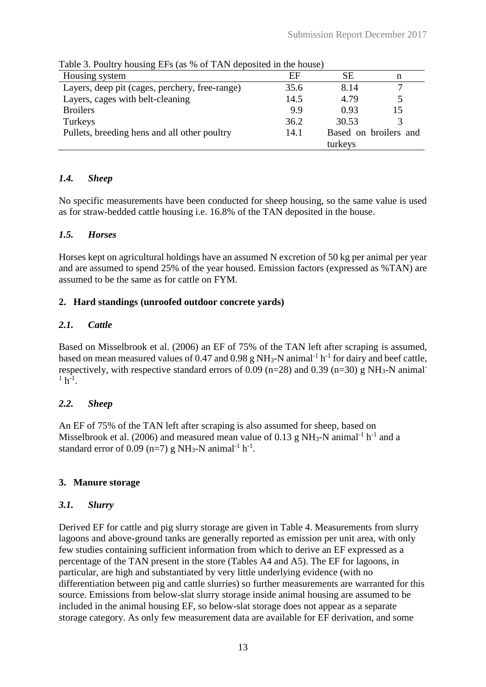| Table 5. I band y housing Li $\frac{1}{2}$ (as 70 or 1711) deposited in the house |      |         |                       |
|-----------------------------------------------------------------------------------|------|---------|-----------------------|
| Housing system                                                                    | EF   | SЕ      | n                     |
| Layers, deep pit (cages, perchery, free-range)                                    | 35.6 | 8.14    |                       |
| Layers, cages with belt-cleaning                                                  | 14.5 | 4.79    |                       |
| <b>Broilers</b>                                                                   | 9.9  | 0.93    | 15                    |
| Turkeys                                                                           | 36.2 | 30.53   |                       |
| Pullets, breeding hens and all other poultry                                      | 14.1 |         | Based on broilers and |
|                                                                                   |      | turkeys |                       |

Table 3. Poultry housing EFs (as % of TAN deposited in the house)

# *1.4. Sheep*

No specific measurements have been conducted for sheep housing, so the same value is used as for straw-bedded cattle housing i.e. 16.8% of the TAN deposited in the house.

## *1.5. Horses*

Horses kept on agricultural holdings have an assumed N excretion of 50 kg per animal per year and are assumed to spend 25% of the year housed. Emission factors (expressed as %TAN) are assumed to be the same as for cattle on FYM.

## **2. Hard standings (unroofed outdoor concrete yards)**

## *2.1. Cattle*

Based on Misselbrook et al. (2006) an EF of 75% of the TAN left after scraping is assumed, based on mean measured values of 0.47 and 0.98 g NH<sub>3</sub>-N animal<sup>-1</sup> h<sup>-1</sup> for dairy and beef cattle, respectively, with respective standard errors of 0.09 ( $n=28$ ) and 0.39 ( $n=30$ ) g NH<sub>3</sub>-N animal<sup>-</sup>  $1 h^{-1}$ .

# *2.2. Sheep*

An EF of 75% of the TAN left after scraping is also assumed for sheep, based on Misselbrook et al. (2006) and measured mean value of 0.13 g NH<sub>3</sub>-N animal<sup>-1</sup> h<sup>-1</sup> and a standard error of 0.09 (n=7) g NH<sub>3</sub>-N animal<sup>-1</sup> h<sup>-1</sup>.

## **3. Manure storage**

## *3.1. Slurry*

Derived EF for cattle and pig slurry storage are given in Table 4. Measurements from slurry lagoons and above-ground tanks are generally reported as emission per unit area, with only few studies containing sufficient information from which to derive an EF expressed as a percentage of the TAN present in the store (Tables A4 and A5). The EF for lagoons, in particular, are high and substantiated by very little underlying evidence (with no differentiation between pig and cattle slurries) so further measurements are warranted for this source. Emissions from below-slat slurry storage inside animal housing are assumed to be included in the animal housing EF, so below-slat storage does not appear as a separate storage category. As only few measurement data are available for EF derivation, and some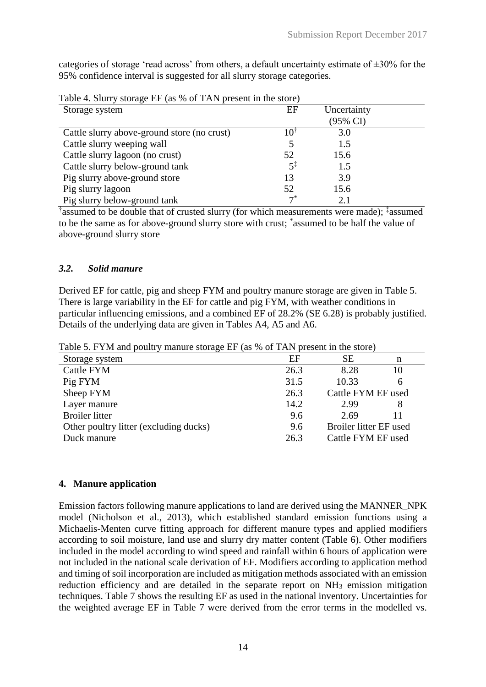categories of storage 'read across' from others, a default uncertainty estimate of  $\pm 30\%$  for the 95% confidence interval is suggested for all slurry storage categories.

| Storage system                              | EF             | Uncertainty |  |
|---------------------------------------------|----------------|-------------|--|
|                                             |                | (95% CI)    |  |
| Cattle slurry above-ground store (no crust) |                | 3.0         |  |
| Cattle slurry weeping wall                  |                | 1.5         |  |
| Cattle slurry lagoon (no crust)             | 52             | 15.6        |  |
| Cattle slurry below-ground tank             | $5^{\ddagger}$ | 1.5         |  |
| Pig slurry above-ground store               | 13             | 3.9         |  |
| Pig slurry lagoon                           | 52             | 15.6        |  |
| Pig slurry below-ground tank                | $7^*$          | 2.1         |  |

Table 4. Slurry storage EF (as % of TAN present in the store)

† assumed to be double that of crusted slurry (for which measurements were made); ‡ assumed to be the same as for above-ground slurry store with crust; \* assumed to be half the value of above-ground slurry store

### *3.2. Solid manure*

Derived EF for cattle, pig and sheep FYM and poultry manure storage are given in Table 5. There is large variability in the EF for cattle and pig FYM, with weather conditions in particular influencing emissions, and a combined EF of 28.2% (SE 6.28) is probably justified. Details of the underlying data are given in Tables A4, A5 and A6.

Table 5. FYM and poultry manure storage EF (as % of TAN present in the store)

| Storage system                         | EF   | SЕ                     | n  |
|----------------------------------------|------|------------------------|----|
| Cattle FYM                             | 26.3 | 8.28                   | 10 |
| Pig FYM                                | 31.5 | 10.33                  | 6  |
| Sheep FYM                              | 26.3 | Cattle FYM EF used     |    |
| Layer manure                           | 14.2 | 2.99                   | 8  |
| <b>Broiler</b> litter                  | 9.6  | 2.69                   | 11 |
| Other poultry litter (excluding ducks) | 9.6  | Broiler litter EF used |    |
| Duck manure                            | 26.3 | Cattle FYM EF used     |    |

### **4. Manure application**

Emission factors following manure applications to land are derived using the MANNER\_NPK model (Nicholson et al., 2013), which established standard emission functions using a Michaelis-Menten curve fitting approach for different manure types and applied modifiers according to soil moisture, land use and slurry dry matter content (Table 6). Other modifiers included in the model according to wind speed and rainfall within 6 hours of application were not included in the national scale derivation of EF. Modifiers according to application method and timing of soil incorporation are included as mitigation methods associated with an emission reduction efficiency and are detailed in the separate report on NH<sup>3</sup> emission mitigation techniques. Table 7 shows the resulting EF as used in the national inventory. Uncertainties for the weighted average EF in Table 7 were derived from the error terms in the modelled vs.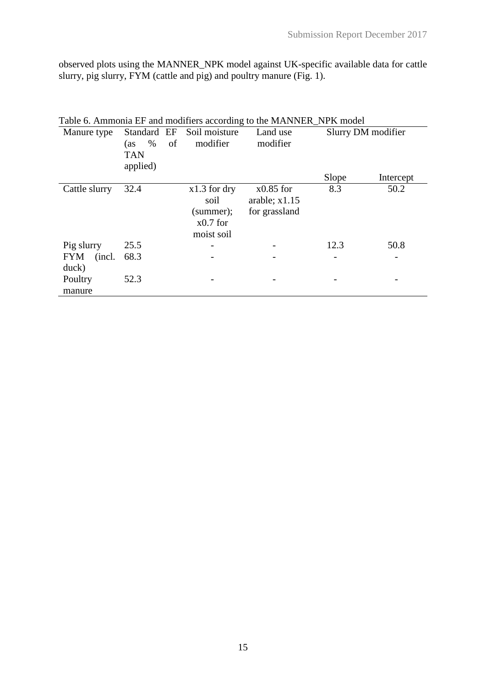observed plots using the MANNER\_NPK model against UK-specific available data for cattle slurry, pig slurry, FYM (cattle and pig) and poultry manure (Fig. 1).

| Table 6. Ammonia EF and modifiers according to the MANNER_NPK model |                   |                |                 |       |                    |  |  |
|---------------------------------------------------------------------|-------------------|----------------|-----------------|-------|--------------------|--|--|
| Manure type                                                         | Standard EF       | Soil moisture  | Land use        |       | Slurry DM modifier |  |  |
|                                                                     | $\%$<br>of<br>(as | modifier       | modifier        |       |                    |  |  |
|                                                                     | <b>TAN</b>        |                |                 |       |                    |  |  |
|                                                                     | applied)          |                |                 |       |                    |  |  |
|                                                                     |                   |                |                 | Slope | Intercept          |  |  |
| Cattle slurry                                                       | 32.4              | $x1.3$ for dry | $x0.85$ for     | 8.3   | 50.2               |  |  |
|                                                                     |                   | soil           | arable; $x1.15$ |       |                    |  |  |
|                                                                     |                   | (summer);      | for grassland   |       |                    |  |  |
|                                                                     |                   | $x0.7$ for     |                 |       |                    |  |  |
|                                                                     |                   | moist soil     |                 |       |                    |  |  |
| Pig slurry                                                          | 25.5              |                |                 | 12.3  | 50.8               |  |  |
| <b>FYM</b><br>(incl.)                                               | 68.3              |                |                 |       |                    |  |  |
| duck)                                                               |                   |                |                 |       |                    |  |  |
| Poultry                                                             | 52.3              |                |                 |       |                    |  |  |
| manure                                                              |                   |                |                 |       |                    |  |  |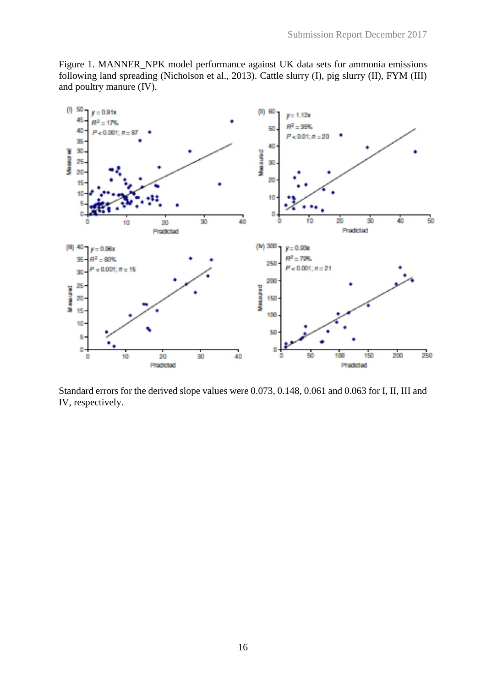Figure 1. MANNER\_NPK model performance against UK data sets for ammonia emissions following land spreading (Nicholson et al., 2013). Cattle slurry (I), pig slurry (II), FYM (III) and poultry manure (IV).



Standard errors for the derived slope values were 0.073, 0.148, 0.061 and 0.063 for I, II, III and IV, respectively.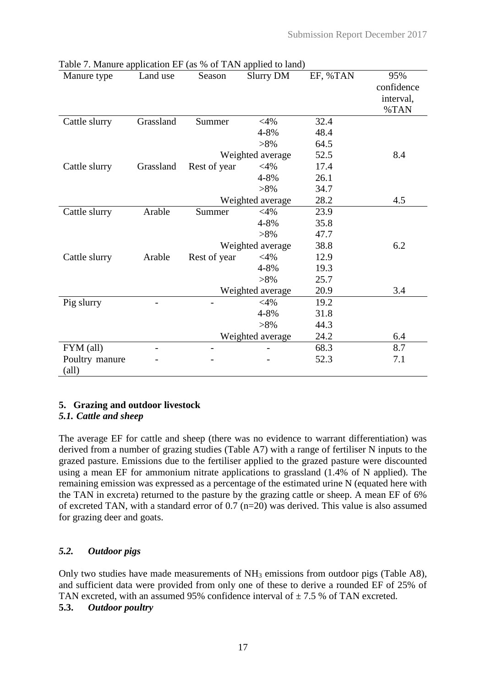| Manure type    | Land use  | Season         | <b>Slurry DM</b> | EF, %TAN | 95%<br>confidence<br>interval,<br>%TAN |
|----------------|-----------|----------------|------------------|----------|----------------------------------------|
| Cattle slurry  | Grassland | Summer         | $<$ 4%           | 32.4     |                                        |
|                |           |                | 4-8%             | 48.4     |                                        |
|                |           |                | $>8\%$           | 64.5     |                                        |
|                |           |                | Weighted average | 52.5     | 8.4                                    |
| Cattle slurry  | Grassland | Rest of year   | $<$ 4%           | 17.4     |                                        |
|                |           |                | 4-8%             | 26.1     |                                        |
|                |           |                | $>8\%$           | 34.7     |                                        |
|                |           |                | Weighted average | 28.2     | 4.5                                    |
| Cattle slurry  | Arable    | Summer         | $<$ 4%           | 23.9     |                                        |
|                |           |                | 4-8%             | 35.8     |                                        |
|                |           |                | $>8\%$           | 47.7     |                                        |
|                |           |                | Weighted average | 38.8     | 6.2                                    |
| Cattle slurry  | Arable    | Rest of year   | $<$ 4%           | 12.9     |                                        |
|                |           |                | 4-8%             | 19.3     |                                        |
|                |           |                | $>8\%$           | 25.7     |                                        |
|                |           |                | Weighted average | 20.9     | 3.4                                    |
| Pig slurry     |           |                | $<$ 4%           | 19.2     |                                        |
|                |           |                | 4-8%             | 31.8     |                                        |
|                |           |                | $>8\%$           | 44.3     |                                        |
|                |           |                | Weighted average | 24.2     | 6.4                                    |
| FYM (all)      |           | $\overline{a}$ |                  | 68.3     | 8.7                                    |
| Poultry manure |           |                |                  | 52.3     | 7.1                                    |
| (all)          |           |                |                  |          |                                        |

| Table 7. Manure application EF (as % of TAN applied to land) |  |  |
|--------------------------------------------------------------|--|--|

## **5. Grazing and outdoor livestock**

## *5.1. Cattle and sheep*

The average EF for cattle and sheep (there was no evidence to warrant differentiation) was derived from a number of grazing studies (Table A7) with a range of fertiliser N inputs to the grazed pasture. Emissions due to the fertiliser applied to the grazed pasture were discounted using a mean EF for ammonium nitrate applications to grassland (1.4% of N applied). The remaining emission was expressed as a percentage of the estimated urine N (equated here with the TAN in excreta) returned to the pasture by the grazing cattle or sheep. A mean EF of 6% of excreted TAN, with a standard error of 0.7 (n=20) was derived. This value is also assumed for grazing deer and goats.

## *5.2. Outdoor pigs*

Only two studies have made measurements of NH<sup>3</sup> emissions from outdoor pigs (Table A8), and sufficient data were provided from only one of these to derive a rounded EF of 25% of TAN excreted, with an assumed 95% confidence interval of  $\pm$  7.5 % of TAN excreted.

## **5.3.** *Outdoor poultry*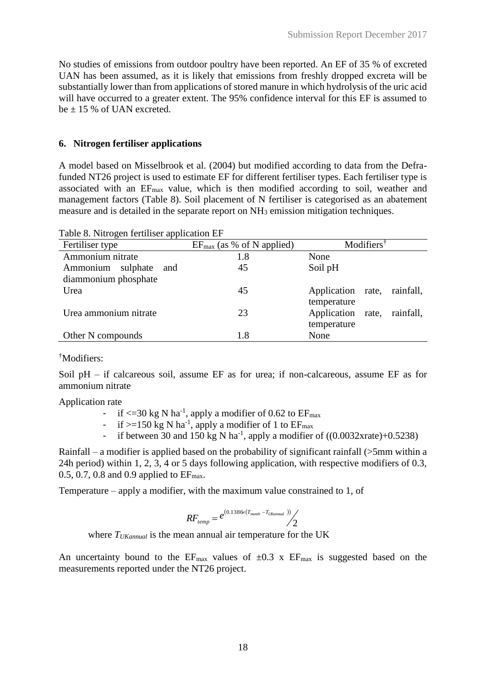No studies of emissions from outdoor poultry have been reported. An EF of 35 % of excreted UAN has been assumed, as it is likely that emissions from freshly dropped excreta will be substantially lower than from applications of stored manure in which hydrolysis of the uric acid will have occurred to a greater extent. The 95% confidence interval for this EF is assumed to be  $\pm$  15 % of UAN excreted.

## **6. Nitrogen fertiliser applications**

A model based on Misselbrook et al. (2004) but modified according to data from the Defrafunded NT26 project is used to estimate EF for different fertiliser types. Each fertiliser type is associated with an EFmax value, which is then modified according to soil, weather and management factors (Table 8). Soil placement of N fertiliser is categorised as an abatement measure and is detailed in the separate report on NH<sup>3</sup> emission mitigation techniques.

| Table 6. INITOgen Tertifiser application ET |                                       |                                |  |  |  |  |  |  |
|---------------------------------------------|---------------------------------------|--------------------------------|--|--|--|--|--|--|
| Fertiliser type                             | $EF_{\text{max}}$ (as % of N applied) | Modifiers <sup>†</sup>         |  |  |  |  |  |  |
| Ammonium nitrate                            | 1.8                                   | None                           |  |  |  |  |  |  |
| sulphate<br>Ammonium<br>and                 | 45                                    | Soil pH                        |  |  |  |  |  |  |
| diammonium phosphate                        |                                       |                                |  |  |  |  |  |  |
| Urea                                        | 45                                    | Application rate,<br>rainfall, |  |  |  |  |  |  |
|                                             |                                       | temperature                    |  |  |  |  |  |  |
| Urea ammonium nitrate                       | 23                                    | Application rate,<br>rainfall, |  |  |  |  |  |  |
|                                             |                                       | temperature                    |  |  |  |  |  |  |
| Other N compounds                           | 1.8                                   | None                           |  |  |  |  |  |  |

Table 8. Nitrogen fertiliser application EF

## †Modifiers:

Soil pH – if calcareous soil, assume EF as for urea; if non-calcareous, assume EF as for ammonium nitrate

Application rate

- if  $\leq$ =30 kg N ha<sup>-1</sup>, apply a modifier of 0.62 to EF<sub>max</sub>
- if  $>=150$  kg N ha<sup>-1</sup>, apply a modifier of 1 to  $EF_{\text{max}}$
- if between 30 and 150 kg N ha<sup>-1</sup>, apply a modifier of  $((0.0032 \text{xrate})+0.5238)$

Rainfall – a modifier is applied based on the probability of significant rainfall (>5mm within a 24h period) within 1, 2, 3, 4 or 5 days following application, with respective modifiers of 0.3, 0.5, 0.7, 0.8 and 0.9 applied to  $EF_{\text{max}}$ .

Temperature – apply a modifier, with the maximum value constrained to 1, of

$$
RF_{temp} = e^{(0.1386 \times (T_{month} - T_{UKamual}))}/2
$$

where *TUKannual* is the mean annual air temperature for the UK

An uncertainty bound to the  $EF_{max}$  values of  $\pm 0.3$  x  $EF_{max}$  is suggested based on the measurements reported under the NT26 project.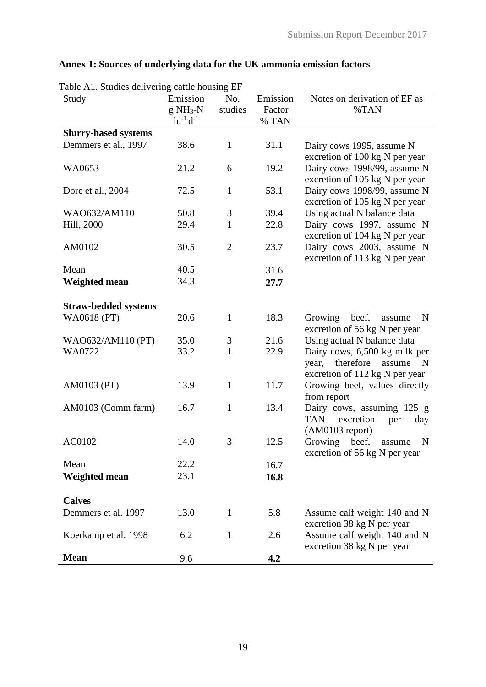| Table A1. Studies delivering cattle housing EF |                       |                |                    |                                                                                                                |
|------------------------------------------------|-----------------------|----------------|--------------------|----------------------------------------------------------------------------------------------------------------|
| Study                                          | Emission<br>$g NH3-N$ | No.<br>studies | Emission<br>Factor | Notes on derivation of EF as<br>%TAN                                                                           |
|                                                | $\ln^{-1} d^{-1}$     |                | % TAN              |                                                                                                                |
| <b>Slurry-based systems</b>                    |                       |                |                    |                                                                                                                |
| Demmers et al., 1997                           | 38.6                  | $\mathbf{1}$   | 31.1               | Dairy cows 1995, assume N<br>excretion of 100 kg N per year                                                    |
| WA0653                                         | 21.2                  | 6              | 19.2               | Dairy cows 1998/99, assume N<br>excretion of 105 kg N per year                                                 |
| Dore et al., 2004                              | 72.5                  | $\mathbf{1}$   | 53.1               | Dairy cows 1998/99, assume N<br>excretion of 105 kg N per year                                                 |
| WAO632/AM110                                   | 50.8                  | 3              | 39.4               | Using actual N balance data                                                                                    |
| Hill, 2000                                     | 29.4                  | $\mathbf{1}$   | 22.8               | Dairy cows 1997, assume N                                                                                      |
|                                                |                       |                |                    | excretion of 104 kg N per year                                                                                 |
| AM0102                                         | 30.5                  | $\overline{2}$ | 23.7               | Dairy cows 2003, assume N<br>excretion of 113 kg N per year                                                    |
| Mean                                           | 40.5                  |                | 31.6               |                                                                                                                |
| <b>Weighted mean</b>                           | 34.3                  |                | 27.7               |                                                                                                                |
| <b>Straw-bedded systems</b>                    |                       |                |                    |                                                                                                                |
| WA0618 (PT)                                    | 20.6                  | $\mathbf{1}$   | 18.3               | beef,<br>Growing<br>N<br>assume<br>excretion of 56 kg N per year                                               |
| WAO632/AM110 (PT)                              | 35.0                  | 3              | 21.6               | Using actual N balance data                                                                                    |
| WA0722                                         | 33.2                  | $\mathbf{1}$   | 22.9               | Dairy cows, 6,500 kg milk per<br>therefore<br>year,<br>assume<br>$\mathbf N$<br>excretion of 112 kg N per year |
| AM0103 (PT)                                    | 13.9                  | $\mathbf{1}$   | 11.7               | Growing beef, values directly<br>from report                                                                   |
| AM0103 (Comm farm)                             | 16.7                  | $\mathbf{1}$   | 13.4               | Dairy cows, assuming 125 g<br>excretion<br><b>TAN</b><br>day<br>per<br>$(AM0103$ report)                       |
| AC0102                                         | 14.0                  | 3              | 12.5               | Growing<br>beef,<br>N<br>assume<br>excretion of 56 kg N per year                                               |
| Mean                                           | 22.2                  |                | 16.7               |                                                                                                                |
| <b>Weighted mean</b>                           | 23.1                  |                | 16.8               |                                                                                                                |
| <b>Calves</b>                                  |                       |                |                    |                                                                                                                |
| Demmers et al. 1997                            | 13.0                  | $\mathbf{1}$   | 5.8                | Assume calf weight 140 and N<br>excretion 38 kg N per year                                                     |
| Koerkamp et al. 1998                           | 6.2                   | $\mathbf{1}$   | 2.6                | Assume calf weight 140 and N<br>excretion 38 kg N per year                                                     |
| <b>Mean</b>                                    | 9.6                   |                | 4.2                |                                                                                                                |

# **Annex 1: Sources of underlying data for the UK ammonia emission factors**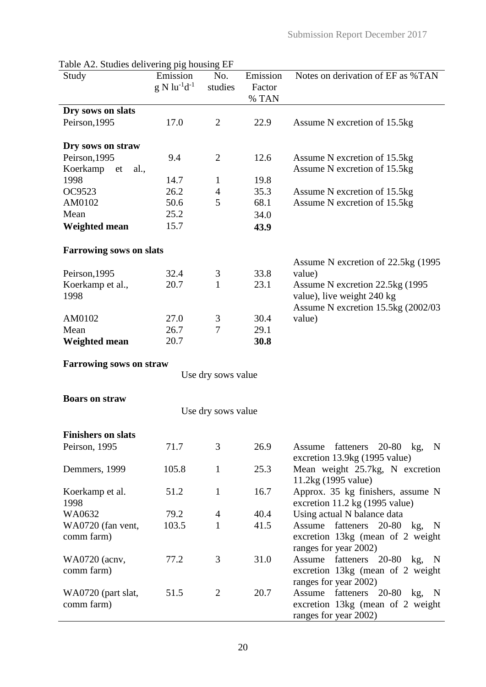| Study                          | Emission              | No.                | Emission | Notes on derivation of EF as %TAN   |
|--------------------------------|-----------------------|--------------------|----------|-------------------------------------|
|                                | $g N l u^{-1} d^{-1}$ | studies            | Factor   |                                     |
|                                |                       |                    | % TAN    |                                     |
| Dry sows on slats              |                       |                    |          |                                     |
| Peirson, 1995                  | 17.0                  | $\overline{2}$     | 22.9     | Assume N excretion of 15.5kg        |
|                                |                       |                    |          |                                     |
| Dry sows on straw              |                       |                    |          |                                     |
| Peirson, 1995                  | 9.4                   | $\overline{2}$     | 12.6     | Assume N excretion of 15.5kg        |
| Koerkamp<br>al.,<br>et         |                       |                    |          | Assume N excretion of 15.5kg        |
| 1998                           | 14.7                  | $\mathbf{1}$       | 19.8     |                                     |
| OC9523                         | 26.2                  | $\overline{4}$     | 35.3     | Assume N excretion of 15.5kg        |
| AM0102                         | 50.6                  | 5                  | 68.1     | Assume N excretion of 15.5kg        |
| Mean                           | 25.2                  |                    | 34.0     |                                     |
| <b>Weighted mean</b>           | 15.7                  |                    | 43.9     |                                     |
|                                |                       |                    |          |                                     |
| <b>Farrowing sows on slats</b> |                       |                    |          |                                     |
|                                |                       |                    |          | Assume N excretion of 22.5kg (1995) |
| Peirson, 1995                  | 32.4                  | 3                  | 33.8     | value)                              |
| Koerkamp et al.,               | 20.7                  | $\mathbf{1}$       | 23.1     | Assume N excretion 22.5kg (1995     |
| 1998                           |                       |                    |          | value), live weight 240 kg          |
|                                |                       |                    |          | Assume N excretion 15.5kg (2002/03) |
| AM0102                         | 27.0                  | 3                  | 30.4     | value)                              |
| Mean                           | 26.7                  | 7                  | 29.1     |                                     |
| <b>Weighted mean</b>           | 20.7                  |                    | 30.8     |                                     |
|                                |                       |                    |          |                                     |
| <b>Farrowing sows on straw</b> |                       |                    |          |                                     |
|                                |                       | Use dry sows value |          |                                     |
| <b>Boars on straw</b>          |                       |                    |          |                                     |
|                                |                       |                    |          |                                     |
|                                |                       | Use dry sows value |          |                                     |
| <b>Finishers on slats</b>      |                       |                    |          |                                     |
| Peirson, 1995                  | 71.7                  | 3                  | 26.9     | fatteners 20-80 kg, N<br>Assume     |
|                                |                       |                    |          | excretion 13.9kg (1995 value)       |
| Demmers, 1999                  | 105.8                 | $\mathbf{1}$       | 25.3     | Mean weight 25.7kg, N excretion     |
|                                |                       |                    |          | 11.2kg (1995 value)                 |
| Koerkamp et al.                | 51.2                  | $\mathbf{1}$       | 16.7     | Approx. 35 kg finishers, assume N   |
| 1998                           |                       |                    |          | excretion 11.2 kg (1995 value)      |
| WA0632                         | 79.2                  | $\overline{4}$     | 40.4     | Using actual N balance data         |
| WA0720 (fan vent,              | 103.5                 | $\mathbf{1}$       | 41.5     | fatteners 20-80 kg, N<br>Assume     |
| comm farm)                     |                       |                    |          | excretion 13kg (mean of 2 weight    |
|                                |                       |                    |          | ranges for year 2002)               |
| WA0720 (acnv,                  | 77.2                  | 3                  | 31.0     | Assume<br>fatteners 20-80 kg, N     |
| comm farm)                     |                       |                    |          | excretion 13kg (mean of 2 weight    |
|                                |                       |                    |          | ranges for year 2002)               |
| WA0720 (part slat,             | 51.5                  | $\overline{2}$     | 20.7     | fatteners 20-80 kg, N<br>Assume     |
| comm farm)                     |                       |                    |          | excretion 13kg (mean of 2 weight)   |
|                                |                       |                    |          | ranges for year 2002)               |

Table A2. Studies delivering pig housing EF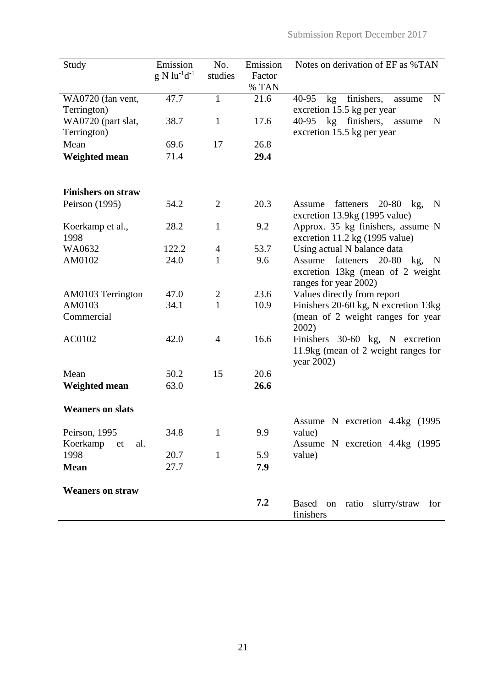| Study                             | Emission<br>$g N \ln^{-1} d^{-1}$ | No.<br>studies | Emission<br>Factor<br>% TAN | Notes on derivation of EF as %TAN                                                               |
|-----------------------------------|-----------------------------------|----------------|-----------------------------|-------------------------------------------------------------------------------------------------|
| WA0720 (fan vent,                 | 47.7                              | 1              | 21.6                        | kg finishers,<br>40-95<br>N<br>assume                                                           |
| Terrington)<br>WA0720 (part slat, | 38.7                              | $\mathbf{1}$   | 17.6                        | excretion 15.5 kg per year<br>40-95 kg finishers, assume<br>N                                   |
| Terrington)                       |                                   |                |                             | excretion 15.5 kg per year                                                                      |
| Mean                              | 69.6                              | 17             | 26.8                        |                                                                                                 |
| <b>Weighted mean</b>              | 71.4                              |                | 29.4                        |                                                                                                 |
| <b>Finishers on straw</b>         |                                   |                |                             |                                                                                                 |
| Peirson (1995)                    | 54.2                              | $\overline{2}$ | 20.3                        | $20-80$ kg,<br>Assume fatteners<br>$\mathbf N$<br>excretion 13.9kg (1995 value)                 |
| Koerkamp et al.,<br>1998          | 28.2                              | $\mathbf{1}$   | 9.2                         | Approx. 35 kg finishers, assume N<br>excretion 11.2 kg (1995 value)                             |
| WA0632                            | 122.2                             | $\overline{4}$ | 53.7                        | Using actual N balance data                                                                     |
| AM0102                            | 24.0                              | 1              | 9.6                         | fatteners<br>20-80 kg, N<br>Assume<br>excretion 13kg (mean of 2 weight<br>ranges for year 2002) |
| AM0103 Terrington                 | 47.0                              | $\overline{2}$ | 23.6                        | Values directly from report                                                                     |
| AM0103                            | 34.1                              | $\mathbf{1}$   | 10.9                        | Finishers 20-60 kg, N excretion 13kg                                                            |
| Commercial                        |                                   |                |                             | (mean of 2 weight ranges for year<br>2002)                                                      |
| AC0102                            | 42.0                              | $\overline{4}$ | 16.6                        | Finishers 30-60 kg, N excretion<br>11.9kg (mean of 2 weight ranges for<br>year 2002)            |
| Mean                              | 50.2                              | 15             | 20.6                        |                                                                                                 |
| Weighted mean                     | 63.0                              |                | 26.6                        |                                                                                                 |
| <b>Weaners on slats</b>           |                                   |                |                             |                                                                                                 |
| Peirson, 1995                     | 34.8                              | $\mathbf{1}$   | 9.9                         | Assume N excretion 4.4kg (1995<br>value)                                                        |
| Koerkamp<br>al.<br>et             |                                   |                |                             | Assume N excretion 4.4kg (1995                                                                  |
| 1998                              | 20.7                              | $\mathbf{1}$   | 5.9                         | value)                                                                                          |
| <b>Mean</b>                       | 27.7                              |                | 7.9                         |                                                                                                 |
| <b>Weaners on straw</b>           |                                   |                |                             |                                                                                                 |
|                                   |                                   |                | 7.2                         | Based on ratio slurry/straw<br>for<br>finishers                                                 |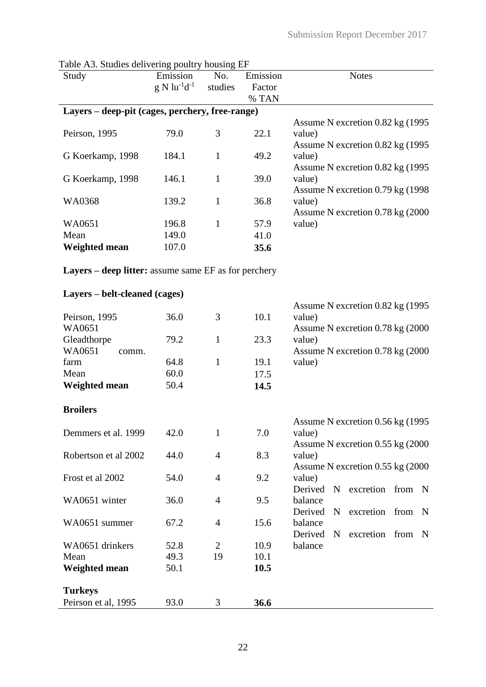| Table Ab. Studies delivering pountly housing EF<br>Study | Emission              | No.            | Emission | <b>Notes</b>                             |
|----------------------------------------------------------|-----------------------|----------------|----------|------------------------------------------|
|                                                          | $g N \ln^{-1} d^{-1}$ | studies        | Factor   |                                          |
|                                                          |                       |                | % TAN    |                                          |
| Layers – deep-pit (cages, perchery, free-range)          |                       |                |          |                                          |
|                                                          |                       |                |          | Assume N excretion 0.82 kg (1995         |
| Peirson, 1995                                            | 79.0                  | 3              | 22.1     | value)                                   |
|                                                          |                       |                |          | Assume N excretion 0.82 kg (1995         |
| G Koerkamp, 1998                                         | 184.1                 | $\mathbf{1}$   | 49.2     | value)                                   |
|                                                          |                       |                |          | Assume N excretion 0.82 kg (1995)        |
| G Koerkamp, 1998                                         | 146.1                 | $\mathbf{1}$   | 39.0     | value)                                   |
|                                                          |                       |                |          | Assume N excretion 0.79 kg (1998)        |
| WA0368                                                   | 139.2                 | $\mathbf{1}$   | 36.8     | value)                                   |
|                                                          |                       |                |          | Assume N excretion 0.78 kg (2000)        |
| WA0651                                                   | 196.8                 | $\mathbf{1}$   | 57.9     | value)                                   |
| Mean                                                     | 149.0                 |                | 41.0     |                                          |
| <b>Weighted mean</b>                                     | 107.0                 |                | 35.6     |                                          |
| Layers – deep litter: assume same EF as for perchery     |                       |                |          |                                          |
| Layers – belt-cleaned (cages)                            |                       |                |          |                                          |
|                                                          |                       |                |          | Assume N excretion 0.82 kg (1995)        |
| Peirson, 1995                                            | 36.0                  | 3              | 10.1     | value)                                   |
| WA0651                                                   |                       |                |          | Assume N excretion 0.78 kg (2000)        |
| Gleadthorpe                                              | 79.2                  | $\mathbf{1}$   | 23.3     | value)                                   |
| WA0651                                                   |                       |                |          | Assume N excretion 0.78 kg (2000)        |
| comm.                                                    | 64.8                  | $\mathbf{1}$   | 19.1     | value)                                   |
| farm                                                     |                       |                |          |                                          |
| Mean                                                     | 60.0                  |                | 17.5     |                                          |
| Weighted mean                                            | 50.4                  |                | 14.5     |                                          |
| <b>Broilers</b>                                          |                       |                |          |                                          |
|                                                          |                       |                |          | Assume N excretion 0.56 kg (1995)        |
| Demmers et al. 1999                                      | 42.0                  | $\mathbf{1}$   | 7.0      | value)                                   |
|                                                          |                       |                |          | Assume N excretion 0.55 kg (2000)        |
| Robertson et al 2002                                     | 44.0                  | $\overline{4}$ | 8.3      | value)                                   |
|                                                          |                       |                |          | Assume N excretion 0.55 kg (2000)        |
| Frost et al 2002                                         | 54.0                  | $\overline{4}$ | 9.2      | value)                                   |
|                                                          |                       |                |          | Derived<br>excretion from N<br>$N_{\rm}$ |
| WA0651 winter                                            | 36.0                  | $\overline{4}$ | 9.5      | balance                                  |
|                                                          |                       |                |          | excretion<br>Derived<br>from N<br>N      |
| WA0651 summer                                            | 67.2                  | $\overline{4}$ | 15.6     | balance                                  |
|                                                          |                       |                |          | excretion from N<br>Derived<br>N         |
| WA0651 drinkers                                          | 52.8                  | $\overline{2}$ | 10.9     | balance                                  |
| Mean                                                     | 49.3                  | 19             | 10.1     |                                          |
| <b>Weighted mean</b>                                     | 50.1                  |                | 10.5     |                                          |
| <b>Turkeys</b>                                           |                       |                |          |                                          |
| Peirson et al, 1995                                      | 93.0                  | 3              | 36.6     |                                          |
|                                                          |                       |                |          |                                          |

Table A3. Studies delivering poultry housing EF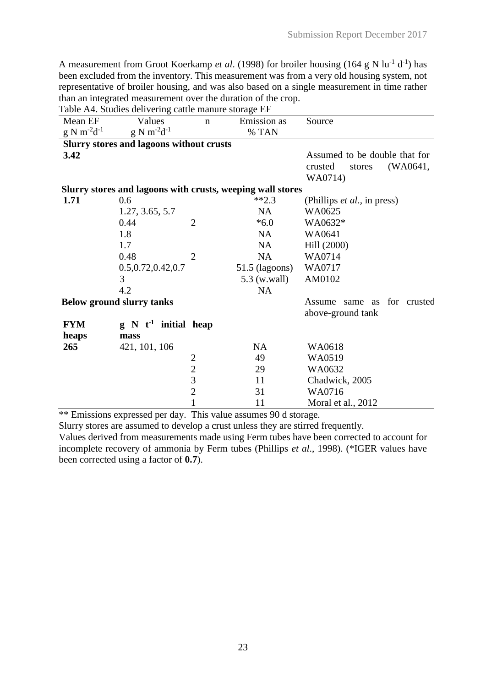A measurement from Groot Koerkamp *et al.* (1998) for broiler housing (164 g N lu<sup>-1</sup> d<sup>-1</sup>) has been excluded from the inventory. This measurement was from a very old housing system, not representative of broiler housing, and was also based on a single measurement in time rather than an integrated measurement over the duration of the crop.

Table A4. Studies delivering cattle manure storage EF

| Mean EF             | Values                                                     | $\mathbf n$                                | Emission as      | Source                                             |
|---------------------|------------------------------------------------------------|--------------------------------------------|------------------|----------------------------------------------------|
| $g N m^{-2} d^{-1}$ | $g N m^{-2} d^{-1}$                                        |                                            | % TAN            |                                                    |
|                     | <b>Slurry stores and lagoons without crusts</b>            |                                            |                  |                                                    |
| 3.42                |                                                            |                                            |                  | Assumed to be double that for                      |
|                     |                                                            |                                            |                  | (WA0641,<br>crusted<br>stores                      |
|                     |                                                            |                                            |                  | WA0714)                                            |
|                     | Slurry stores and lagoons with crusts, weeping wall stores |                                            |                  |                                                    |
| 1.71                | 0.6                                                        |                                            | $**2.3$          | (Phillips <i>et al.</i> , in press)                |
|                     | 1.27, 3.65, 5.7                                            |                                            | <b>NA</b>        | WA0625                                             |
|                     | 0.44                                                       | $\overline{2}$                             | $*6.0$           | WA0632*                                            |
|                     | 1.8                                                        |                                            | <b>NA</b>        | WA0641                                             |
|                     | 1.7                                                        |                                            | NA               | Hill (2000)                                        |
|                     | 0.48                                                       | $\overline{2}$                             | <b>NA</b>        | WA0714                                             |
|                     | 0.5, 0.72, 0.42, 0.7                                       |                                            | $51.5$ (lagoons) | WA0717                                             |
|                     | 3                                                          |                                            | 5.3 (w.wall)     | AM0102                                             |
|                     | 4.2                                                        |                                            | <b>NA</b>        |                                                    |
|                     | <b>Below ground slurry tanks</b>                           |                                            |                  | for crusted<br>Assume same as<br>above-ground tank |
| <b>FYM</b>          | $g \, N \, t^{-1}$ initial heap                            |                                            |                  |                                                    |
| heaps               | mass                                                       |                                            |                  |                                                    |
| 265                 | 421, 101, 106                                              |                                            | <b>NA</b>        | WA0618                                             |
|                     |                                                            |                                            | 49               | WA0519                                             |
|                     |                                                            | $\begin{array}{c} 2 \\ 2 \\ 3 \end{array}$ | 29               | WA0632                                             |
|                     |                                                            |                                            | 11               | Chadwick, 2005                                     |
|                     |                                                            | $\overline{2}$                             | 31               | WA0716                                             |
|                     |                                                            | $\mathbf{1}$                               | 11               | Moral et al., 2012                                 |

\*\* Emissions expressed per day. This value assumes 90 d storage.

Slurry stores are assumed to develop a crust unless they are stirred frequently.

Values derived from measurements made using Ferm tubes have been corrected to account for incomplete recovery of ammonia by Ferm tubes (Phillips *et al*., 1998). (\*IGER values have been corrected using a factor of **0.7**).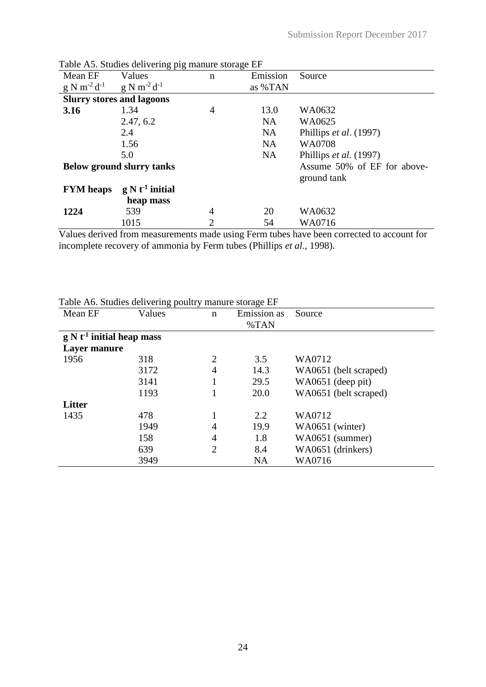|                     | Lable A. Studies delivering pig manure storage ET |                |           |                             |
|---------------------|---------------------------------------------------|----------------|-----------|-----------------------------|
| Mean EF             | Values                                            | n              | Emission  | Source                      |
| $g N m^{-2} d^{-1}$ | $g N m^{-2} d^{-1}$                               |                | as %TAN   |                             |
|                     | <b>Slurry stores and lagoons</b>                  |                |           |                             |
| 3.16                | 1.34                                              | 4              | 13.0      | WA0632                      |
|                     | 2.47, 6.2                                         |                | <b>NA</b> | WA0625                      |
|                     | 2.4                                               |                | <b>NA</b> | Phillips et al. (1997)      |
|                     | 1.56                                              |                | <b>NA</b> | WA0708                      |
|                     | 5.0                                               |                | <b>NA</b> | Phillips et al. (1997)      |
|                     | <b>Below ground slurry tanks</b>                  |                |           | Assume 50% of EF for above- |
|                     |                                                   |                |           | ground tank                 |
| <b>FYM</b> heaps    | $g N t-1$ initial                                 |                |           |                             |
|                     | heap mass                                         |                |           |                             |
| 1224                | 539                                               | 4              | 20        | WA0632                      |
|                     | 1015                                              | $\overline{2}$ | 54        | WA0716                      |

Table A5. Studies delivering pig manure storage EF

Values derived from measurements made using Ferm tubes have been corrected to account for incomplete recovery of ammonia by Ferm tubes (Phillips *et al*., 1998).

|  |  | Table A6. Studies delivering poultry manure storage EF |
|--|--|--------------------------------------------------------|
|  |  |                                                        |

| Mean EF                     | Values | $\mathbf n$    | <b>Emission</b> as | Source                |
|-----------------------------|--------|----------------|--------------------|-----------------------|
|                             |        |                | %TAN               |                       |
| $g N t-1$ initial heap mass |        |                |                    |                       |
| Layer manure                |        |                |                    |                       |
| 1956                        | 318    | 2              | 3.5                | WA0712                |
|                             | 3172   | $\overline{4}$ | 14.3               | WA0651 (belt scraped) |
|                             | 3141   |                | 29.5               | WA0651 (deep pit)     |
|                             | 1193   |                | 20.0               | WA0651 (belt scraped) |
| <b>Litter</b>               |        |                |                    |                       |
| 1435                        | 478    |                | 2.2                | WA0712                |
|                             | 1949   | 4              | 19.9               | WA0651 (winter)       |
|                             | 158    | $\overline{4}$ | 1.8                | WA0651 (summer)       |
|                             | 639    | $\overline{2}$ | 8.4                | WA0651 (drinkers)     |
|                             | 3949   |                | <b>NA</b>          | WA0716                |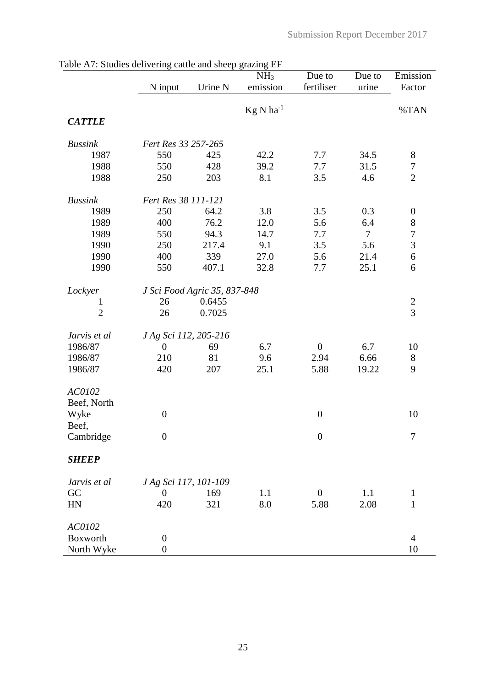|                |                       |                              | NH <sub>3</sub> | Due to           | Due to         | Emission         |
|----------------|-----------------------|------------------------------|-----------------|------------------|----------------|------------------|
|                | N input               | Urine N                      | emission        | fertiliser       | urine          | Factor           |
|                |                       |                              |                 |                  |                |                  |
|                |                       |                              | $Kg N ha^{-1}$  |                  |                | %TAN             |
| <b>CATTLE</b>  |                       |                              |                 |                  |                |                  |
| <b>Bussink</b> | Fert Res 33 257-265   |                              |                 |                  |                |                  |
| 1987           | 550                   | 425                          | 42.2            | 7.7              | 34.5           | $8\,$            |
| 1988           | 550                   | 428                          | 39.2            | 7.7              | 31.5           | $\boldsymbol{7}$ |
| 1988           | 250                   | 203                          | 8.1             | 3.5              | 4.6            | $\overline{2}$   |
| <b>Bussink</b> | Fert Res 38 111-121   |                              |                 |                  |                |                  |
| 1989           | 250                   | 64.2                         | 3.8             | 3.5              | 0.3            | $\boldsymbol{0}$ |
| 1989           | 400                   | 76.2                         | 12.0            | 5.6              | 6.4            | $\,$ $\,$        |
| 1989           | 550                   | 94.3                         | 14.7            | 7.7              | $\overline{7}$ | $\boldsymbol{7}$ |
| 1990           | 250                   | 217.4                        | 9.1             | 3.5              | 5.6            | $\overline{3}$   |
| 1990           | 400                   | 339                          | 27.0            | 5.6              | 21.4           | $\sqrt{6}$       |
| 1990           | 550                   | 407.1                        | 32.8            | 7.7              | 25.1           | 6                |
| Lockyer        |                       | J Sci Food Agric 35, 837-848 |                 |                  |                |                  |
| $\mathbf{1}$   | 26                    | 0.6455                       |                 |                  |                | $\boldsymbol{2}$ |
| $\overline{2}$ | 26                    | 0.7025                       |                 |                  |                | $\overline{3}$   |
| Jarvis et al   | J Ag Sci 112, 205-216 |                              |                 |                  |                |                  |
| 1986/87        | $\boldsymbol{0}$      | 69                           | 6.7             | $\boldsymbol{0}$ | 6.7            | 10               |
| 1986/87        | 210                   | 81                           | 9.6             | 2.94             | 6.66           | $8\,$            |
| 1986/87        | 420                   | 207                          | 25.1            | 5.88             | 19.22          | 9                |
| AC0102         |                       |                              |                 |                  |                |                  |
| Beef, North    |                       |                              |                 |                  |                |                  |
| Wyke           | $\boldsymbol{0}$      |                              |                 | $\boldsymbol{0}$ |                | 10               |
| Beef,          |                       |                              |                 |                  |                |                  |
| Cambridge      | $\boldsymbol{0}$      |                              |                 | $\boldsymbol{0}$ |                | 7                |
| <b>SHEEP</b>   |                       |                              |                 |                  |                |                  |
| Jarvis et al   | J Ag Sci 117, 101-109 |                              |                 |                  |                |                  |
| GC             | $\boldsymbol{0}$      | 169                          | 1.1             | $\boldsymbol{0}$ | 1.1            | $\mathbf{1}$     |
| HN             | 420                   | 321                          | 8.0             | 5.88             | 2.08           | $\mathbf{1}$     |
| AC0102         |                       |                              |                 |                  |                |                  |
| Boxworth       | $\boldsymbol{0}$      |                              |                 |                  |                | $\overline{4}$   |
| North Wyke     | $\boldsymbol{0}$      |                              |                 |                  |                | 10               |

|  | Table A7: Studies delivering cattle and sheep grazing EF |  |  |  |
|--|----------------------------------------------------------|--|--|--|
|  |                                                          |  |  |  |
|  |                                                          |  |  |  |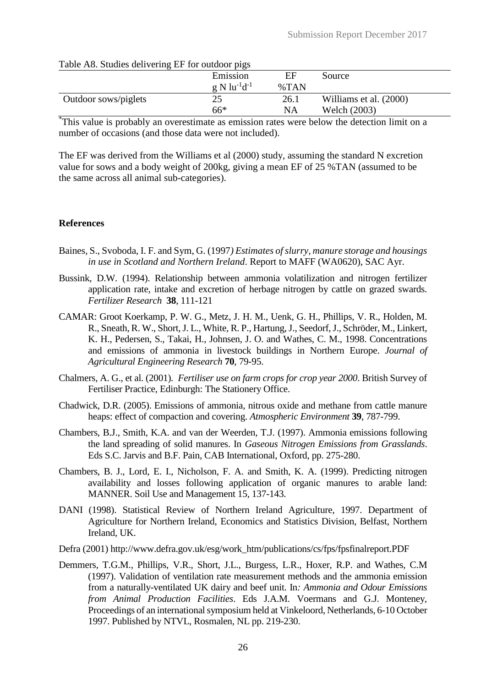| Table As. Studies delivering EP for outdoor pigs |                                                 |         |                        |  |  |  |  |
|--------------------------------------------------|-------------------------------------------------|---------|------------------------|--|--|--|--|
|                                                  | Emission                                        | ЕF      | Source                 |  |  |  |  |
|                                                  | $g \mathrm{N}$ lu <sup>-1</sup> d <sup>-1</sup> | $\%TAN$ |                        |  |  |  |  |
| Outdoor sows/piglets                             | 25                                              | 26.1    | Williams et al. (2000) |  |  |  |  |
|                                                  | $66*$                                           | NA      | Welch (2003)           |  |  |  |  |

#### $T<sub>1</sub>$   $\uparrow$   $\uparrow$   $\uparrow$   $\uparrow$   $\uparrow$   $\uparrow$   $\uparrow$   $\uparrow$   $\downarrow$   $\uparrow$   $\uparrow$   $\uparrow$   $\uparrow$   $\uparrow$   $\uparrow$   $\uparrow$   $\uparrow$   $\downarrow$   $\downarrow$   $\downarrow$   $\downarrow$   $\downarrow$   $\downarrow$   $\downarrow$   $\downarrow$   $\downarrow$   $\downarrow$   $\downarrow$   $\downarrow$   $\downarrow$   $\downarrow$   $\downarrow$   $\downarrow$   $\downarrow$   $\downarrow$

\*This value is probably an overestimate as emission rates were below the detection limit on a number of occasions (and those data were not included).

The EF was derived from the Williams et al (2000) study, assuming the standard N excretion value for sows and a body weight of 200kg, giving a mean EF of 25 %TAN (assumed to be the same across all animal sub-categories).

#### **References**

- Baines, S., Svoboda, I. F. and Sym, G. (1997*) Estimates of slurry, manure storage and housings in use in Scotland and Northern Ireland*. Report to MAFF (WA0620), SAC Ayr.
- Bussink, D.W. (1994). Relationship between ammonia volatilization and nitrogen fertilizer application rate, intake and excretion of herbage nitrogen by cattle on grazed swards. *Fertilizer Research* **38**, 111-121
- CAMAR: Groot Koerkamp, P. W. G., Metz, J. H. M., Uenk, G. H., Phillips, V. R., Holden, M. R., Sneath, R. W., Short, J. L., White, R. P., Hartung, J., Seedorf, J., Schröder, M., Linkert, K. H., Pedersen, S., Takai, H., Johnsen, J. O. and Wathes, C. M., 1998. Concentrations and emissions of ammonia in livestock buildings in Northern Europe. *Journal of Agricultural Engineering Research* **70**, 79-95.
- Chalmers, A. G., et al. (2001)*. Fertiliser use on farm crops for crop year 2000*. British Survey of Fertiliser Practice, Edinburgh: The Stationery Office.
- Chadwick, D.R. (2005). Emissions of ammonia, nitrous oxide and methane from cattle manure heaps: effect of compaction and covering. *Atmospheric Environment* **39**, 787-799.
- Chambers, B.J., Smith, K.A. and van der Weerden, T.J. (1997). Ammonia emissions following the land spreading of solid manures. In *Gaseous Nitrogen Emissions from Grasslands*. Eds S.C. Jarvis and B.F. Pain, CAB International, Oxford, pp. 275-280.
- Chambers, B. J., Lord, E. I., Nicholson, F. A. and Smith, K. A. (1999). Predicting nitrogen availability and losses following application of organic manures to arable land: MANNER. Soil Use and Management 15, 137-143.
- DANI (1998). Statistical Review of Northern Ireland Agriculture, 1997. Department of Agriculture for Northern Ireland, Economics and Statistics Division, Belfast, Northern Ireland, UK.
- Defra (2001) http://www.defra.gov.uk/esg/work\_htm/publications/cs/fps/fpsfinalreport.PDF
- Demmers, T.G.M., Phillips, V.R., Short, J.L., Burgess, L.R., Hoxer, R.P. and Wathes, C.M (1997). Validation of ventilation rate measurement methods and the ammonia emission from a naturally-ventilated UK dairy and beef unit. In*: Ammonia and Odour Emissions from Animal Production Facilities*. Eds J.A.M. Voermans and G.J. Monteney, Proceedings of an international symposium held at Vinkeloord, Netherlands, 6-10 October 1997. Published by NTVL, Rosmalen, NL pp. 219-230.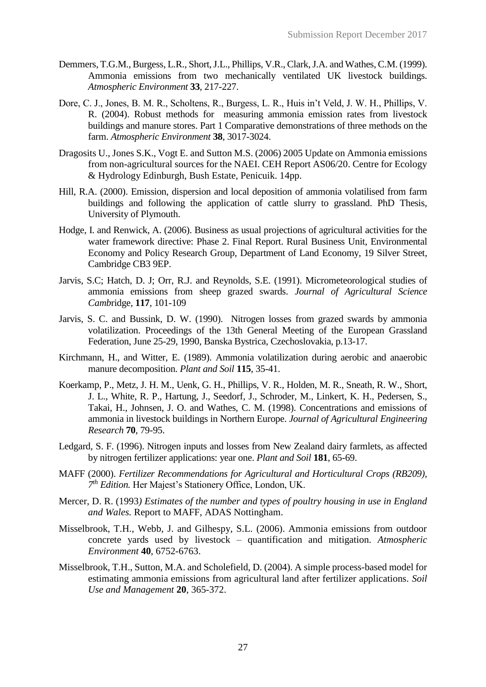- Demmers, T.G.M., Burgess, L.R., Short, J.L., Phillips, V.R., Clark, J.A. and Wathes, C.M. (1999). Ammonia emissions from two mechanically ventilated UK livestock buildings. *Atmospheric Environment* **33**, 217-227.
- Dore, C. J., Jones, B. M. R., Scholtens, R., Burgess, L. R., Huis in't Veld, J. W. H., Phillips, V. R. (2004). Robust methods for measuring ammonia emission rates from livestock buildings and manure stores. Part 1 Comparative demonstrations of three methods on the farm. *Atmospheric Environment* **38**, 3017-3024.
- Dragosits U., Jones S.K., Vogt E. and Sutton M.S. (2006) 2005 Update on Ammonia emissions from non-agricultural sources for the NAEI. CEH Report AS06/20. Centre for Ecology & Hydrology Edinburgh, Bush Estate, Penicuik. 14pp.
- Hill, R.A. (2000). Emission, dispersion and local deposition of ammonia volatilised from farm buildings and following the application of cattle slurry to grassland. PhD Thesis, University of Plymouth.
- Hodge, I. and Renwick, A. (2006). Business as usual projections of agricultural activities for the water framework directive: Phase 2. Final Report. Rural Business Unit, Environmental Economy and Policy Research Group, Department of Land Economy, 19 Silver Street, Cambridge CB3 9EP.
- Jarvis, S.C; Hatch, D. J; Orr, R.J. and Reynolds, S.E. (1991). Micrometeorological studies of ammonia emissions from sheep grazed swards. *Journal of Agricultural Science Camb*ridge, **117**, 101-109
- Jarvis, S. C. and Bussink, D. W. (1990). Nitrogen losses from grazed swards by ammonia volatilization. Proceedings of the 13th General Meeting of the European Grassland Federation, June 25-29, 1990, Banska Bystrica, Czechoslovakia, p.13-17.
- Kirchmann, H., and Witter, E. (1989). Ammonia volatilization during aerobic and anaerobic manure decomposition. *Plant and Soil* **115**, 35-41.
- Koerkamp, P., Metz, J. H. M., Uenk, G. H., Phillips, V. R., Holden, M. R., Sneath, R. W., Short, J. L., White, R. P., Hartung, J., Seedorf, J., Schroder, M., Linkert, K. H., Pedersen, S., Takai, H., Johnsen, J. O. and Wathes, C. M. (1998). Concentrations and emissions of ammonia in livestock buildings in Northern Europe. *Journal of Agricultural Engineering Research* **70**, 79-95.
- Ledgard, S. F. (1996). Nitrogen inputs and losses from New Zealand dairy farmlets, as affected by nitrogen fertilizer applications: year one. *Plant and Soil* **181**, 65-69.
- MAFF (2000). *Fertilizer Recommendations for Agricultural and Horticultural Crops (RB209), 7 th Edition.* Her Majest's Stationery Office, London, UK.
- Mercer, D. R. (1993*) Estimates of the number and types of poultry housing in use in England and Wales.* Report to MAFF, ADAS Nottingham.
- Misselbrook, T.H., Webb, J. and Gilhespy, S.L. (2006). Ammonia emissions from outdoor concrete yards used by livestock – quantification and mitigation. *Atmospheric Environment* **40**, 6752-6763.
- Misselbrook, T.H., Sutton, M.A. and Scholefield, D. (2004). A simple process-based model for estimating ammonia emissions from agricultural land after fertilizer applications. *Soil Use and Management* **20**, 365-372.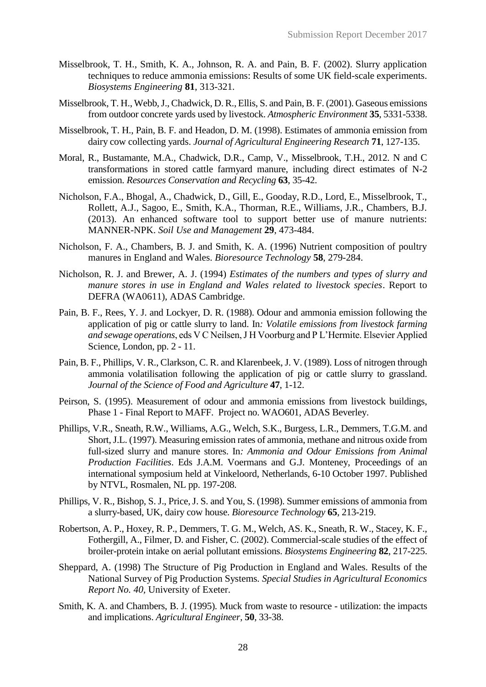- Misselbrook, T. H., Smith, K. A., Johnson, R. A. and Pain, B. F. (2002). Slurry application techniques to reduce ammonia emissions: Results of some UK field-scale experiments. *Biosystems Engineering* **81**, 313-321.
- Misselbrook, T. H., Webb, J., Chadwick, D. R., Ellis, S. and Pain, B. F. (2001). Gaseous emissions from outdoor concrete yards used by livestock. *Atmospheric Environment* **35**, 5331-5338.
- Misselbrook, T. H., Pain, B. F. and Headon, D. M. (1998). Estimates of ammonia emission from dairy cow collecting yards. *Journal of Agricultural Engineering Research* **71**, 127-135.
- Moral, R., Bustamante, M.A., Chadwick, D.R., Camp, V., Misselbrook, T.H., 2012. N and C transformations in stored cattle farmyard manure, including direct estimates of N-2 emission. *Resources Conservation and Recycling* **63**, 35-42.
- Nicholson, F.A., Bhogal, A., Chadwick, D., Gill, E., Gooday, R.D., Lord, E., Misselbrook, T., Rollett, A.J., Sagoo, E., Smith, K.A., Thorman, R.E., Williams, J.R., Chambers, B.J. (2013). An enhanced software tool to support better use of manure nutrients: MANNER-NPK. *Soil Use and Management* **29**, 473-484.
- Nicholson, F. A., Chambers, B. J. and Smith, K. A. (1996) Nutrient composition of poultry manures in England and Wales. *Bioresource Technology* **58**, 279-284.
- Nicholson, R. J. and Brewer, A. J. (1994) *Estimates of the numbers and types of slurry and manure stores in use in England and Wales related to livestock species*. Report to DEFRA (WA0611), ADAS Cambridge.
- Pain, B. F., Rees, Y. J. and Lockyer, D. R. (1988). Odour and ammonia emission following the application of pig or cattle slurry to land. In*: Volatile emissions from livestock farming and sewage operations*, eds V C Neilsen, J H Voorburg and P L'Hermite. Elsevier Applied Science, London, pp. 2 - 11.
- Pain, B. F., Phillips, V. R., Clarkson, C. R. and Klarenbeek, J. V. (1989). Loss of nitrogen through ammonia volatilisation following the application of pig or cattle slurry to grassland. *Journal of the Science of Food and Agriculture* **47**, 1-12.
- Peirson, S. (1995). Measurement of odour and ammonia emissions from livestock buildings, Phase 1 - Final Report to MAFF. Project no. WAO601, ADAS Beverley.
- Phillips, V.R., Sneath, R.W., Williams, A.G., Welch, S.K., Burgess, L.R., Demmers, T.G.M. and Short, J.L. (1997). Measuring emission rates of ammonia, methane and nitrous oxide from full-sized slurry and manure stores. In*: Ammonia and Odour Emissions from Animal Production Facilities*. Eds J.A.M. Voermans and G.J. Monteney, Proceedings of an international symposium held at Vinkeloord, Netherlands, 6-10 October 1997. Published by NTVL, Rosmalen, NL pp. 197-208.
- Phillips, V. R., Bishop, S. J., Price, J. S. and You, S. (1998). Summer emissions of ammonia from a slurry-based, UK, dairy cow house. *Bioresource Technology* **65**, 213-219.
- Robertson, A. P., Hoxey, R. P., Demmers, T. G. M., Welch, AS. K., Sneath, R. W., Stacey, K. F., Fothergill, A., Filmer, D. and Fisher, C. (2002). Commercial-scale studies of the effect of broiler-protein intake on aerial pollutant emissions. *Biosystems Engineering* **82**, 217-225.
- Sheppard, A. (1998) The Structure of Pig Production in England and Wales. Results of the National Survey of Pig Production Systems*. Special Studies in Agricultural Economics Report No. 40,* University of Exeter.
- Smith, K. A. and Chambers, B. J. (1995). Muck from waste to resource utilization: the impacts and implications. *Agricultural Engineer*, **50**, 33-38.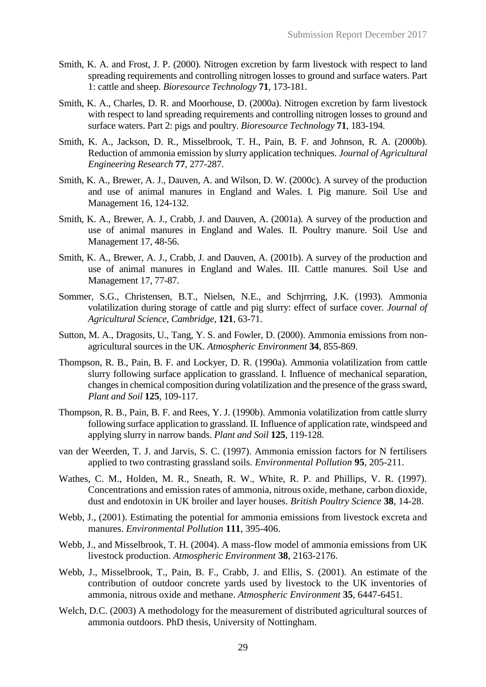- Smith, K. A. and Frost, J. P. (2000). Nitrogen excretion by farm livestock with respect to land spreading requirements and controlling nitrogen losses to ground and surface waters. Part 1: cattle and sheep. *Bioresource Technology* **71**, 173-181.
- Smith, K. A., Charles, D. R. and Moorhouse, D. (2000a). Nitrogen excretion by farm livestock with respect to land spreading requirements and controlling nitrogen losses to ground and surface waters. Part 2: pigs and poultry. *Bioresource Technology* **71**, 183-194.
- Smith, K. A., Jackson, D. R., Misselbrook, T. H., Pain, B. F. and Johnson, R. A. (2000b). Reduction of ammonia emission by slurry application techniques. *Journal of Agricultural Engineering Research* **77**, 277-287.
- Smith, K. A., Brewer, A. J., Dauven, A. and Wilson, D. W. (2000c). A survey of the production and use of animal manures in England and Wales. I. Pig manure. Soil Use and Management 16, 124-132.
- Smith, K. A., Brewer, A. J., Crabb, J. and Dauven, A. (2001a). A survey of the production and use of animal manures in England and Wales. II. Poultry manure. Soil Use and Management 17, 48-56.
- Smith, K. A., Brewer, A. J., Crabb, J. and Dauven, A. (2001b). A survey of the production and use of animal manures in England and Wales. III. Cattle manures. Soil Use and Management 17, 77-87.
- Sommer, S.G., Christensen, B.T., Nielsen, N.E., and Schjrrring, J.K. (1993). Ammonia volatilization during storage of cattle and pig slurry: effect of surface cover. *Journal of Agricultural Science, Cambridge*, **121**, 63-71.
- Sutton, M. A., Dragosits, U., Tang, Y. S. and Fowler, D. (2000). Ammonia emissions from nonagricultural sources in the UK. *Atmospheric Environment* **34**, 855-869.
- Thompson, R. B., Pain, B. F. and Lockyer, D. R. (1990a). Ammonia volatilization from cattle slurry following surface application to grassland. I. Influence of mechanical separation, changes in chemical composition during volatilization and the presence of the grass sward, *Plant and Soil* **125**, 109-117.
- Thompson, R. B., Pain, B. F. and Rees, Y. J. (1990b). Ammonia volatilization from cattle slurry following surface application to grassland. II. Influence of application rate, windspeed and applying slurry in narrow bands. *Plant and Soil* **125**, 119-128.
- van der Weerden, T. J. and Jarvis, S. C. (1997). Ammonia emission factors for N fertilisers applied to two contrasting grassland soils. *Environmental Pollution* **95**, 205-211.
- Wathes, C. M., Holden, M. R., Sneath, R. W., White, R. P. and Phillips, V. R. (1997). Concentrations and emission rates of ammonia, nitrous oxide, methane, carbon dioxide, dust and endotoxin in UK broiler and layer houses. *British Poultry Science* **38**, 14-28.
- Webb, J., (2001). Estimating the potential for ammonia emissions from livestock excreta and manures. *Environmental Pollution* **111**, 395-406.
- Webb, J., and Misselbrook, T. H. (2004). A mass-flow model of ammonia emissions from UK livestock production. *Atmospheric Environment* **38**, 2163-2176.
- Webb, J., Misselbrook, T., Pain, B. F., Crabb, J. and Ellis, S. (2001). An estimate of the contribution of outdoor concrete yards used by livestock to the UK inventories of ammonia, nitrous oxide and methane. *Atmospheric Environment* **35**, 6447-6451.
- Welch, D.C. (2003) A methodology for the measurement of distributed agricultural sources of ammonia outdoors. PhD thesis, University of Nottingham.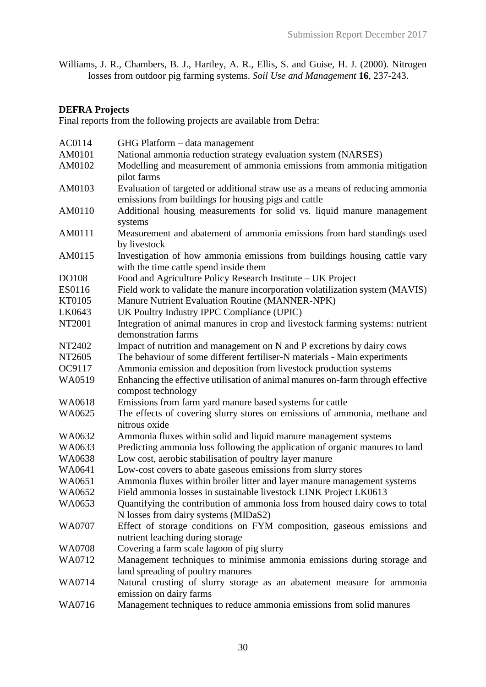Williams, J. R., Chambers, B. J., Hartley, A. R., Ellis, S. and Guise, H. J. (2000). Nitrogen losses from outdoor pig farming systems. *Soil Use and Management* **16**, 237-243.

# **DEFRA Projects**

Final reports from the following projects are available from Defra:

| National ammonia reduction strategy evaluation system (NARSES)<br>Modelling and measurement of ammonia emissions from ammonia mitigation<br>pilot farms<br>AM0103<br>Evaluation of targeted or additional straw use as a means of reducing ammonia<br>emissions from buildings for housing pigs and cattle<br>Additional housing measurements for solid vs. liquid manure management<br>AM0110<br>systems<br>AM0111<br>Measurement and abatement of ammonia emissions from hard standings used<br>by livestock<br>Investigation of how ammonia emissions from buildings housing cattle vary<br>AM0115<br>with the time cattle spend inside them<br>Food and Agriculture Policy Research Institute - UK Project<br>DO108<br>Field work to validate the manure incorporation volatilization system (MAVIS)<br>ES0116<br>Manure Nutrient Evaluation Routine (MANNER-NPK)<br>KT0105<br>UK Poultry Industry IPPC Compliance (UPIC)<br>LK0643<br>Integration of animal manures in crop and livestock farming systems: nutrient<br>NT2001<br>demonstration farms<br>Impact of nutrition and management on N and P excretions by dairy cows<br>NT2402<br>NT2605<br>The behaviour of some different fertiliser-N materials - Main experiments<br>OC9117<br>Ammonia emission and deposition from livestock production systems<br>Enhancing the effective utilisation of animal manures on-farm through effective<br>WA0519<br>compost technology<br>Emissions from farm yard manure based systems for cattle<br>WA0618<br>The effects of covering slurry stores on emissions of ammonia, methane and<br>WA0625<br>nitrous oxide<br>Ammonia fluxes within solid and liquid manure management systems<br>WA0632<br>Predicting ammonia loss following the application of organic manures to land<br>WA0633<br>WA0638<br>Low cost, aerobic stabilisation of poultry layer manure<br>Low-cost covers to abate gaseous emissions from slurry stores<br>WA0641<br>Ammonia fluxes within broiler litter and layer manure management systems<br>WA0651<br>Field ammonia losses in sustainable livestock LINK Project LK0613<br>WA0652<br>Quantifying the contribution of ammonia loss from housed dairy cows to total<br>WA0653<br>N losses from dairy systems (MIDaS2)<br>Effect of storage conditions on FYM composition, gaseous emissions and<br>WA0707<br>nutrient leaching during storage<br>Covering a farm scale lagoon of pig slurry<br>WA0708<br>Management techniques to minimise ammonia emissions during storage and<br>WA0712<br>land spreading of poultry manures<br>Natural crusting of slurry storage as an abatement measure for ammonia<br>WA0714<br>emission on dairy farms | AM0101<br>AM0102 |                                                                      |
|------------------------------------------------------------------------------------------------------------------------------------------------------------------------------------------------------------------------------------------------------------------------------------------------------------------------------------------------------------------------------------------------------------------------------------------------------------------------------------------------------------------------------------------------------------------------------------------------------------------------------------------------------------------------------------------------------------------------------------------------------------------------------------------------------------------------------------------------------------------------------------------------------------------------------------------------------------------------------------------------------------------------------------------------------------------------------------------------------------------------------------------------------------------------------------------------------------------------------------------------------------------------------------------------------------------------------------------------------------------------------------------------------------------------------------------------------------------------------------------------------------------------------------------------------------------------------------------------------------------------------------------------------------------------------------------------------------------------------------------------------------------------------------------------------------------------------------------------------------------------------------------------------------------------------------------------------------------------------------------------------------------------------------------------------------------------------------------------------------------------------------------------------------------------------------------------------------------------------------------------------------------------------------------------------------------------------------------------------------------------------------------------------------------------------------------------------------------------------------------------------------------------------------------------------------------------------------------------------------------------------------------------------------------------------|------------------|----------------------------------------------------------------------|
|                                                                                                                                                                                                                                                                                                                                                                                                                                                                                                                                                                                                                                                                                                                                                                                                                                                                                                                                                                                                                                                                                                                                                                                                                                                                                                                                                                                                                                                                                                                                                                                                                                                                                                                                                                                                                                                                                                                                                                                                                                                                                                                                                                                                                                                                                                                                                                                                                                                                                                                                                                                                                                                                              |                  |                                                                      |
|                                                                                                                                                                                                                                                                                                                                                                                                                                                                                                                                                                                                                                                                                                                                                                                                                                                                                                                                                                                                                                                                                                                                                                                                                                                                                                                                                                                                                                                                                                                                                                                                                                                                                                                                                                                                                                                                                                                                                                                                                                                                                                                                                                                                                                                                                                                                                                                                                                                                                                                                                                                                                                                                              |                  |                                                                      |
|                                                                                                                                                                                                                                                                                                                                                                                                                                                                                                                                                                                                                                                                                                                                                                                                                                                                                                                                                                                                                                                                                                                                                                                                                                                                                                                                                                                                                                                                                                                                                                                                                                                                                                                                                                                                                                                                                                                                                                                                                                                                                                                                                                                                                                                                                                                                                                                                                                                                                                                                                                                                                                                                              |                  |                                                                      |
|                                                                                                                                                                                                                                                                                                                                                                                                                                                                                                                                                                                                                                                                                                                                                                                                                                                                                                                                                                                                                                                                                                                                                                                                                                                                                                                                                                                                                                                                                                                                                                                                                                                                                                                                                                                                                                                                                                                                                                                                                                                                                                                                                                                                                                                                                                                                                                                                                                                                                                                                                                                                                                                                              |                  |                                                                      |
|                                                                                                                                                                                                                                                                                                                                                                                                                                                                                                                                                                                                                                                                                                                                                                                                                                                                                                                                                                                                                                                                                                                                                                                                                                                                                                                                                                                                                                                                                                                                                                                                                                                                                                                                                                                                                                                                                                                                                                                                                                                                                                                                                                                                                                                                                                                                                                                                                                                                                                                                                                                                                                                                              |                  |                                                                      |
|                                                                                                                                                                                                                                                                                                                                                                                                                                                                                                                                                                                                                                                                                                                                                                                                                                                                                                                                                                                                                                                                                                                                                                                                                                                                                                                                                                                                                                                                                                                                                                                                                                                                                                                                                                                                                                                                                                                                                                                                                                                                                                                                                                                                                                                                                                                                                                                                                                                                                                                                                                                                                                                                              |                  |                                                                      |
|                                                                                                                                                                                                                                                                                                                                                                                                                                                                                                                                                                                                                                                                                                                                                                                                                                                                                                                                                                                                                                                                                                                                                                                                                                                                                                                                                                                                                                                                                                                                                                                                                                                                                                                                                                                                                                                                                                                                                                                                                                                                                                                                                                                                                                                                                                                                                                                                                                                                                                                                                                                                                                                                              |                  |                                                                      |
|                                                                                                                                                                                                                                                                                                                                                                                                                                                                                                                                                                                                                                                                                                                                                                                                                                                                                                                                                                                                                                                                                                                                                                                                                                                                                                                                                                                                                                                                                                                                                                                                                                                                                                                                                                                                                                                                                                                                                                                                                                                                                                                                                                                                                                                                                                                                                                                                                                                                                                                                                                                                                                                                              |                  |                                                                      |
|                                                                                                                                                                                                                                                                                                                                                                                                                                                                                                                                                                                                                                                                                                                                                                                                                                                                                                                                                                                                                                                                                                                                                                                                                                                                                                                                                                                                                                                                                                                                                                                                                                                                                                                                                                                                                                                                                                                                                                                                                                                                                                                                                                                                                                                                                                                                                                                                                                                                                                                                                                                                                                                                              |                  |                                                                      |
|                                                                                                                                                                                                                                                                                                                                                                                                                                                                                                                                                                                                                                                                                                                                                                                                                                                                                                                                                                                                                                                                                                                                                                                                                                                                                                                                                                                                                                                                                                                                                                                                                                                                                                                                                                                                                                                                                                                                                                                                                                                                                                                                                                                                                                                                                                                                                                                                                                                                                                                                                                                                                                                                              |                  |                                                                      |
|                                                                                                                                                                                                                                                                                                                                                                                                                                                                                                                                                                                                                                                                                                                                                                                                                                                                                                                                                                                                                                                                                                                                                                                                                                                                                                                                                                                                                                                                                                                                                                                                                                                                                                                                                                                                                                                                                                                                                                                                                                                                                                                                                                                                                                                                                                                                                                                                                                                                                                                                                                                                                                                                              |                  |                                                                      |
|                                                                                                                                                                                                                                                                                                                                                                                                                                                                                                                                                                                                                                                                                                                                                                                                                                                                                                                                                                                                                                                                                                                                                                                                                                                                                                                                                                                                                                                                                                                                                                                                                                                                                                                                                                                                                                                                                                                                                                                                                                                                                                                                                                                                                                                                                                                                                                                                                                                                                                                                                                                                                                                                              |                  |                                                                      |
|                                                                                                                                                                                                                                                                                                                                                                                                                                                                                                                                                                                                                                                                                                                                                                                                                                                                                                                                                                                                                                                                                                                                                                                                                                                                                                                                                                                                                                                                                                                                                                                                                                                                                                                                                                                                                                                                                                                                                                                                                                                                                                                                                                                                                                                                                                                                                                                                                                                                                                                                                                                                                                                                              |                  |                                                                      |
|                                                                                                                                                                                                                                                                                                                                                                                                                                                                                                                                                                                                                                                                                                                                                                                                                                                                                                                                                                                                                                                                                                                                                                                                                                                                                                                                                                                                                                                                                                                                                                                                                                                                                                                                                                                                                                                                                                                                                                                                                                                                                                                                                                                                                                                                                                                                                                                                                                                                                                                                                                                                                                                                              |                  |                                                                      |
|                                                                                                                                                                                                                                                                                                                                                                                                                                                                                                                                                                                                                                                                                                                                                                                                                                                                                                                                                                                                                                                                                                                                                                                                                                                                                                                                                                                                                                                                                                                                                                                                                                                                                                                                                                                                                                                                                                                                                                                                                                                                                                                                                                                                                                                                                                                                                                                                                                                                                                                                                                                                                                                                              |                  |                                                                      |
|                                                                                                                                                                                                                                                                                                                                                                                                                                                                                                                                                                                                                                                                                                                                                                                                                                                                                                                                                                                                                                                                                                                                                                                                                                                                                                                                                                                                                                                                                                                                                                                                                                                                                                                                                                                                                                                                                                                                                                                                                                                                                                                                                                                                                                                                                                                                                                                                                                                                                                                                                                                                                                                                              |                  |                                                                      |
|                                                                                                                                                                                                                                                                                                                                                                                                                                                                                                                                                                                                                                                                                                                                                                                                                                                                                                                                                                                                                                                                                                                                                                                                                                                                                                                                                                                                                                                                                                                                                                                                                                                                                                                                                                                                                                                                                                                                                                                                                                                                                                                                                                                                                                                                                                                                                                                                                                                                                                                                                                                                                                                                              |                  |                                                                      |
|                                                                                                                                                                                                                                                                                                                                                                                                                                                                                                                                                                                                                                                                                                                                                                                                                                                                                                                                                                                                                                                                                                                                                                                                                                                                                                                                                                                                                                                                                                                                                                                                                                                                                                                                                                                                                                                                                                                                                                                                                                                                                                                                                                                                                                                                                                                                                                                                                                                                                                                                                                                                                                                                              |                  |                                                                      |
|                                                                                                                                                                                                                                                                                                                                                                                                                                                                                                                                                                                                                                                                                                                                                                                                                                                                                                                                                                                                                                                                                                                                                                                                                                                                                                                                                                                                                                                                                                                                                                                                                                                                                                                                                                                                                                                                                                                                                                                                                                                                                                                                                                                                                                                                                                                                                                                                                                                                                                                                                                                                                                                                              |                  |                                                                      |
|                                                                                                                                                                                                                                                                                                                                                                                                                                                                                                                                                                                                                                                                                                                                                                                                                                                                                                                                                                                                                                                                                                                                                                                                                                                                                                                                                                                                                                                                                                                                                                                                                                                                                                                                                                                                                                                                                                                                                                                                                                                                                                                                                                                                                                                                                                                                                                                                                                                                                                                                                                                                                                                                              |                  |                                                                      |
|                                                                                                                                                                                                                                                                                                                                                                                                                                                                                                                                                                                                                                                                                                                                                                                                                                                                                                                                                                                                                                                                                                                                                                                                                                                                                                                                                                                                                                                                                                                                                                                                                                                                                                                                                                                                                                                                                                                                                                                                                                                                                                                                                                                                                                                                                                                                                                                                                                                                                                                                                                                                                                                                              |                  |                                                                      |
|                                                                                                                                                                                                                                                                                                                                                                                                                                                                                                                                                                                                                                                                                                                                                                                                                                                                                                                                                                                                                                                                                                                                                                                                                                                                                                                                                                                                                                                                                                                                                                                                                                                                                                                                                                                                                                                                                                                                                                                                                                                                                                                                                                                                                                                                                                                                                                                                                                                                                                                                                                                                                                                                              |                  |                                                                      |
|                                                                                                                                                                                                                                                                                                                                                                                                                                                                                                                                                                                                                                                                                                                                                                                                                                                                                                                                                                                                                                                                                                                                                                                                                                                                                                                                                                                                                                                                                                                                                                                                                                                                                                                                                                                                                                                                                                                                                                                                                                                                                                                                                                                                                                                                                                                                                                                                                                                                                                                                                                                                                                                                              |                  |                                                                      |
|                                                                                                                                                                                                                                                                                                                                                                                                                                                                                                                                                                                                                                                                                                                                                                                                                                                                                                                                                                                                                                                                                                                                                                                                                                                                                                                                                                                                                                                                                                                                                                                                                                                                                                                                                                                                                                                                                                                                                                                                                                                                                                                                                                                                                                                                                                                                                                                                                                                                                                                                                                                                                                                                              |                  |                                                                      |
|                                                                                                                                                                                                                                                                                                                                                                                                                                                                                                                                                                                                                                                                                                                                                                                                                                                                                                                                                                                                                                                                                                                                                                                                                                                                                                                                                                                                                                                                                                                                                                                                                                                                                                                                                                                                                                                                                                                                                                                                                                                                                                                                                                                                                                                                                                                                                                                                                                                                                                                                                                                                                                                                              |                  |                                                                      |
|                                                                                                                                                                                                                                                                                                                                                                                                                                                                                                                                                                                                                                                                                                                                                                                                                                                                                                                                                                                                                                                                                                                                                                                                                                                                                                                                                                                                                                                                                                                                                                                                                                                                                                                                                                                                                                                                                                                                                                                                                                                                                                                                                                                                                                                                                                                                                                                                                                                                                                                                                                                                                                                                              |                  |                                                                      |
|                                                                                                                                                                                                                                                                                                                                                                                                                                                                                                                                                                                                                                                                                                                                                                                                                                                                                                                                                                                                                                                                                                                                                                                                                                                                                                                                                                                                                                                                                                                                                                                                                                                                                                                                                                                                                                                                                                                                                                                                                                                                                                                                                                                                                                                                                                                                                                                                                                                                                                                                                                                                                                                                              |                  |                                                                      |
|                                                                                                                                                                                                                                                                                                                                                                                                                                                                                                                                                                                                                                                                                                                                                                                                                                                                                                                                                                                                                                                                                                                                                                                                                                                                                                                                                                                                                                                                                                                                                                                                                                                                                                                                                                                                                                                                                                                                                                                                                                                                                                                                                                                                                                                                                                                                                                                                                                                                                                                                                                                                                                                                              |                  |                                                                      |
|                                                                                                                                                                                                                                                                                                                                                                                                                                                                                                                                                                                                                                                                                                                                                                                                                                                                                                                                                                                                                                                                                                                                                                                                                                                                                                                                                                                                                                                                                                                                                                                                                                                                                                                                                                                                                                                                                                                                                                                                                                                                                                                                                                                                                                                                                                                                                                                                                                                                                                                                                                                                                                                                              |                  |                                                                      |
|                                                                                                                                                                                                                                                                                                                                                                                                                                                                                                                                                                                                                                                                                                                                                                                                                                                                                                                                                                                                                                                                                                                                                                                                                                                                                                                                                                                                                                                                                                                                                                                                                                                                                                                                                                                                                                                                                                                                                                                                                                                                                                                                                                                                                                                                                                                                                                                                                                                                                                                                                                                                                                                                              |                  |                                                                      |
|                                                                                                                                                                                                                                                                                                                                                                                                                                                                                                                                                                                                                                                                                                                                                                                                                                                                                                                                                                                                                                                                                                                                                                                                                                                                                                                                                                                                                                                                                                                                                                                                                                                                                                                                                                                                                                                                                                                                                                                                                                                                                                                                                                                                                                                                                                                                                                                                                                                                                                                                                                                                                                                                              |                  |                                                                      |
|                                                                                                                                                                                                                                                                                                                                                                                                                                                                                                                                                                                                                                                                                                                                                                                                                                                                                                                                                                                                                                                                                                                                                                                                                                                                                                                                                                                                                                                                                                                                                                                                                                                                                                                                                                                                                                                                                                                                                                                                                                                                                                                                                                                                                                                                                                                                                                                                                                                                                                                                                                                                                                                                              |                  |                                                                      |
|                                                                                                                                                                                                                                                                                                                                                                                                                                                                                                                                                                                                                                                                                                                                                                                                                                                                                                                                                                                                                                                                                                                                                                                                                                                                                                                                                                                                                                                                                                                                                                                                                                                                                                                                                                                                                                                                                                                                                                                                                                                                                                                                                                                                                                                                                                                                                                                                                                                                                                                                                                                                                                                                              |                  |                                                                      |
|                                                                                                                                                                                                                                                                                                                                                                                                                                                                                                                                                                                                                                                                                                                                                                                                                                                                                                                                                                                                                                                                                                                                                                                                                                                                                                                                                                                                                                                                                                                                                                                                                                                                                                                                                                                                                                                                                                                                                                                                                                                                                                                                                                                                                                                                                                                                                                                                                                                                                                                                                                                                                                                                              |                  |                                                                      |
|                                                                                                                                                                                                                                                                                                                                                                                                                                                                                                                                                                                                                                                                                                                                                                                                                                                                                                                                                                                                                                                                                                                                                                                                                                                                                                                                                                                                                                                                                                                                                                                                                                                                                                                                                                                                                                                                                                                                                                                                                                                                                                                                                                                                                                                                                                                                                                                                                                                                                                                                                                                                                                                                              |                  |                                                                      |
|                                                                                                                                                                                                                                                                                                                                                                                                                                                                                                                                                                                                                                                                                                                                                                                                                                                                                                                                                                                                                                                                                                                                                                                                                                                                                                                                                                                                                                                                                                                                                                                                                                                                                                                                                                                                                                                                                                                                                                                                                                                                                                                                                                                                                                                                                                                                                                                                                                                                                                                                                                                                                                                                              |                  |                                                                      |
|                                                                                                                                                                                                                                                                                                                                                                                                                                                                                                                                                                                                                                                                                                                                                                                                                                                                                                                                                                                                                                                                                                                                                                                                                                                                                                                                                                                                                                                                                                                                                                                                                                                                                                                                                                                                                                                                                                                                                                                                                                                                                                                                                                                                                                                                                                                                                                                                                                                                                                                                                                                                                                                                              |                  |                                                                      |
|                                                                                                                                                                                                                                                                                                                                                                                                                                                                                                                                                                                                                                                                                                                                                                                                                                                                                                                                                                                                                                                                                                                                                                                                                                                                                                                                                                                                                                                                                                                                                                                                                                                                                                                                                                                                                                                                                                                                                                                                                                                                                                                                                                                                                                                                                                                                                                                                                                                                                                                                                                                                                                                                              |                  |                                                                      |
|                                                                                                                                                                                                                                                                                                                                                                                                                                                                                                                                                                                                                                                                                                                                                                                                                                                                                                                                                                                                                                                                                                                                                                                                                                                                                                                                                                                                                                                                                                                                                                                                                                                                                                                                                                                                                                                                                                                                                                                                                                                                                                                                                                                                                                                                                                                                                                                                                                                                                                                                                                                                                                                                              |                  |                                                                      |
|                                                                                                                                                                                                                                                                                                                                                                                                                                                                                                                                                                                                                                                                                                                                                                                                                                                                                                                                                                                                                                                                                                                                                                                                                                                                                                                                                                                                                                                                                                                                                                                                                                                                                                                                                                                                                                                                                                                                                                                                                                                                                                                                                                                                                                                                                                                                                                                                                                                                                                                                                                                                                                                                              | WA0716           | Management techniques to reduce ammonia emissions from solid manures |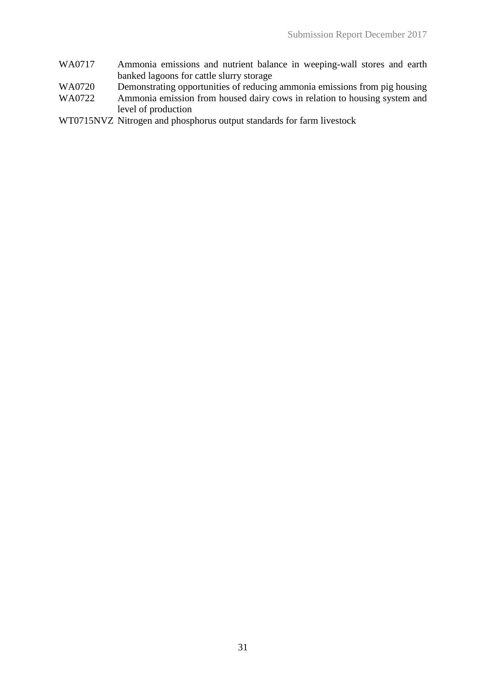- WA0717 Ammonia emissions and nutrient balance in weeping-wall stores and earth banked lagoons for cattle slurry storage
- WA0720 Demonstrating opportunities of reducing ammonia emissions from pig housing
- WA0722 Ammonia emission from housed dairy cows in relation to housing system and level of production
- WT0715NVZ Nitrogen and phosphorus output standards for farm livestock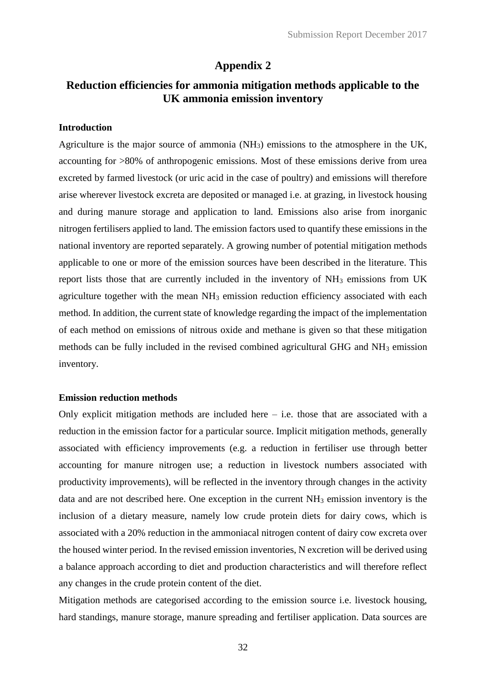# **Appendix 2**

# **Reduction efficiencies for ammonia mitigation methods applicable to the UK ammonia emission inventory**

### **Introduction**

Agriculture is the major source of ammonia (NH3) emissions to the atmosphere in the UK, accounting for >80% of anthropogenic emissions. Most of these emissions derive from urea excreted by farmed livestock (or uric acid in the case of poultry) and emissions will therefore arise wherever livestock excreta are deposited or managed i.e. at grazing, in livestock housing and during manure storage and application to land. Emissions also arise from inorganic nitrogen fertilisers applied to land. The emission factors used to quantify these emissions in the national inventory are reported separately. A growing number of potential mitigation methods applicable to one or more of the emission sources have been described in the literature. This report lists those that are currently included in the inventory of NH<sup>3</sup> emissions from UK agriculture together with the mean NH<sub>3</sub> emission reduction efficiency associated with each method. In addition, the current state of knowledge regarding the impact of the implementation of each method on emissions of nitrous oxide and methane is given so that these mitigation methods can be fully included in the revised combined agricultural GHG and NH<sup>3</sup> emission inventory.

#### **Emission reduction methods**

Only explicit mitigation methods are included here  $-$  i.e. those that are associated with a reduction in the emission factor for a particular source. Implicit mitigation methods, generally associated with efficiency improvements (e.g. a reduction in fertiliser use through better accounting for manure nitrogen use; a reduction in livestock numbers associated with productivity improvements), will be reflected in the inventory through changes in the activity data and are not described here. One exception in the current NH<sup>3</sup> emission inventory is the inclusion of a dietary measure, namely low crude protein diets for dairy cows, which is associated with a 20% reduction in the ammoniacal nitrogen content of dairy cow excreta over the housed winter period. In the revised emission inventories, N excretion will be derived using a balance approach according to diet and production characteristics and will therefore reflect any changes in the crude protein content of the diet.

Mitigation methods are categorised according to the emission source i.e. livestock housing, hard standings, manure storage, manure spreading and fertiliser application. Data sources are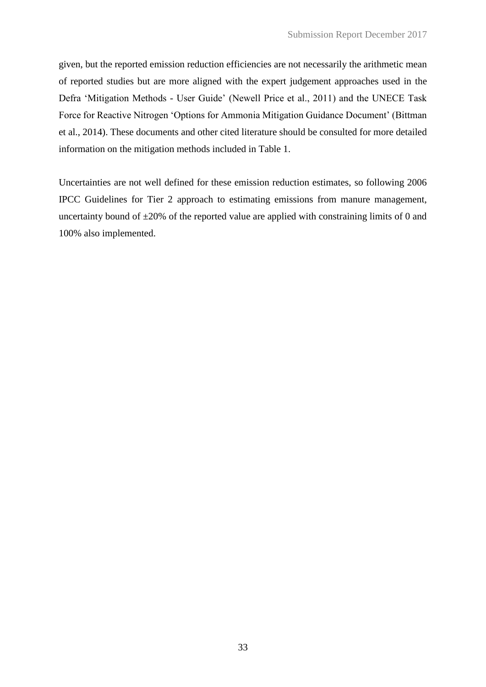given, but the reported emission reduction efficiencies are not necessarily the arithmetic mean of reported studies but are more aligned with the expert judgement approaches used in the Defra 'Mitigation Methods - User Guide' (Newell Price et al., 2011) and the UNECE Task Force for Reactive Nitrogen 'Options for Ammonia Mitigation Guidance Document' (Bittman et al., 2014). These documents and other cited literature should be consulted for more detailed information on the mitigation methods included in Table 1.

Uncertainties are not well defined for these emission reduction estimates, so following 2006 IPCC Guidelines for Tier 2 approach to estimating emissions from manure management, uncertainty bound of  $\pm 20\%$  of the reported value are applied with constraining limits of 0 and 100% also implemented.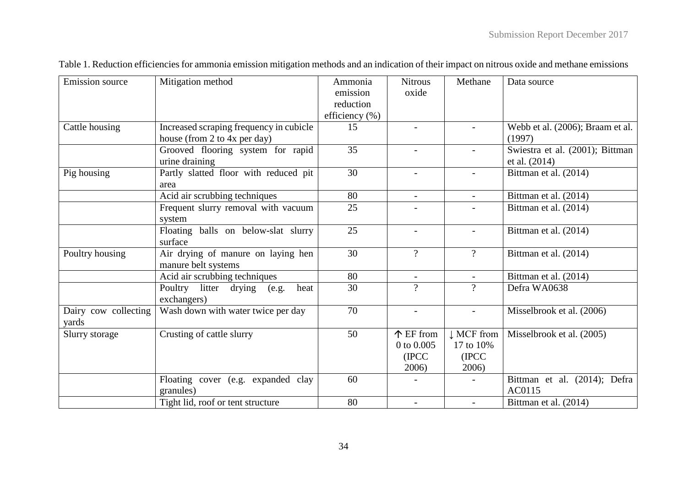| <b>Emission</b> source        | Mitigation method                                         | Ammonia<br>emission<br>reduction<br>efficiency $(\% )$ | <b>Nitrous</b><br>oxide                   | Methane                                   | Data source                                      |
|-------------------------------|-----------------------------------------------------------|--------------------------------------------------------|-------------------------------------------|-------------------------------------------|--------------------------------------------------|
| Cattle housing                | Increased scraping frequency in cubicle                   | 15                                                     | $\blacksquare$                            |                                           | Webb et al. (2006); Braam et al.                 |
|                               | house (from 2 to 4x per day)                              |                                                        |                                           |                                           | (1997)                                           |
|                               | Grooved flooring system for rapid<br>urine draining       | 35                                                     | $\overline{\phantom{0}}$                  | $\overline{\phantom{a}}$                  | Swiestra et al. (2001); Bittman<br>et al. (2014) |
| Pig housing                   | Partly slatted floor with reduced pit<br>area             | $\overline{30}$                                        |                                           |                                           | Bittman et al. (2014)                            |
|                               | Acid air scrubbing techniques                             | 80                                                     | $\overline{\phantom{a}}$                  | $\overline{\phantom{0}}$                  | Bittman et al. (2014)                            |
|                               | Frequent slurry removal with vacuum<br>system             | 25                                                     |                                           |                                           | Bittman et al. (2014)                            |
|                               | Floating balls on below-slat slurry<br>surface            | 25                                                     |                                           |                                           | Bittman et al. (2014)                            |
| Poultry housing               | Air drying of manure on laying hen<br>manure belt systems | 30                                                     | $\overline{?}$                            | $\gamma$                                  | Bittman et al. (2014)                            |
|                               | Acid air scrubbing techniques                             | 80                                                     | $\blacksquare$                            | $\overline{\phantom{a}}$                  | Bittman et al. (2014)                            |
|                               | Poultry litter drying<br>heat<br>(e.g.<br>exchangers)     | 30                                                     | $\gamma$                                  | $\gamma$                                  | Defra WA0638                                     |
| Dairy cow collecting<br>yards | Wash down with water twice per day                        | 70                                                     | $\overline{\phantom{a}}$                  |                                           | Misselbrook et al. (2006)                        |
| Slurry storage                | Crusting of cattle slurry                                 | 50                                                     | 个 EF from<br>0 to 0.005<br>(IPCC<br>2006) | ↓ MCF from<br>17 to 10%<br>(IPCC<br>2006) | Misselbrook et al. (2005)                        |
|                               | Floating cover (e.g. expanded clay<br>granules)           | 60                                                     |                                           |                                           | Bittman et al. (2014); Defra<br>AC0115           |
|                               | Tight lid, roof or tent structure                         | 80                                                     |                                           |                                           | Bittman et al. (2014)                            |

Table 1. Reduction efficiencies for ammonia emission mitigation methods and an indication of their impact on nitrous oxide and methane emissions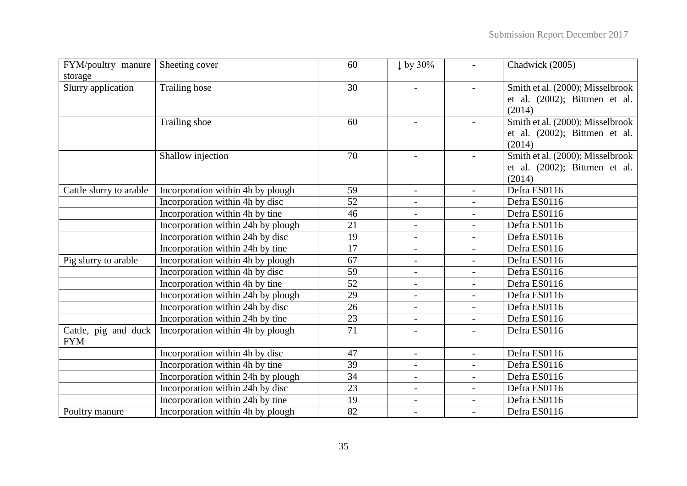| FYM/poultry manure                 | Sheeting cover                     | 60              | $\downarrow$ by 30%      | $\overline{\phantom{a}}$ | Chadwick (2005)                  |
|------------------------------------|------------------------------------|-----------------|--------------------------|--------------------------|----------------------------------|
| storage                            |                                    |                 |                          |                          |                                  |
| Slurry application                 | <b>Trailing hose</b>               | $\overline{30}$ |                          |                          | Smith et al. (2000); Misselbrook |
|                                    |                                    |                 |                          |                          | et al. (2002); Bittmen et al.    |
|                                    |                                    |                 |                          |                          | (2014)                           |
|                                    | Trailing shoe                      | 60              |                          |                          | Smith et al. (2000); Misselbrook |
|                                    |                                    |                 |                          |                          | et al. (2002); Bittmen et al.    |
|                                    |                                    |                 |                          |                          | (2014)                           |
|                                    | Shallow injection                  | 70              | $\overline{\phantom{a}}$ | $\overline{\phantom{a}}$ | Smith et al. (2000); Misselbrook |
|                                    |                                    |                 |                          |                          | et al. (2002); Bittmen et al.    |
|                                    |                                    |                 |                          |                          | (2014)                           |
| Cattle slurry to arable            | Incorporation within 4h by plough  | 59              |                          |                          | Defra ES0116                     |
|                                    | Incorporation within 4h by disc    | 52              |                          | $\overline{a}$           | Defra ES0116                     |
|                                    | Incorporation within 4h by tine    | 46              | $\overline{\phantom{a}}$ | $\overline{\phantom{0}}$ | Defra ES0116                     |
|                                    | Incorporation within 24h by plough | 21              | $\overline{\phantom{a}}$ | $\overline{a}$           | Defra ES0116                     |
|                                    | Incorporation within 24h by disc   | 19              | $\blacksquare$           | $\overline{\phantom{a}}$ | Defra ES0116                     |
|                                    | Incorporation within 24h by tine   | $\overline{17}$ | $\overline{\phantom{a}}$ | $\overline{\phantom{a}}$ | Defra ES0116                     |
| Pig slurry to arable               | Incorporation within 4h by plough  | 67              | $\blacksquare$           | $\overline{\phantom{0}}$ | Defra ES0116                     |
|                                    | Incorporation within 4h by disc    | 59              | $\overline{\phantom{a}}$ | $\frac{1}{2}$            | Defra ES0116                     |
|                                    | Incorporation within 4h by tine    | 52              | $\overline{\phantom{a}}$ | $\overline{\phantom{a}}$ | Defra ES0116                     |
|                                    | Incorporation within 24h by plough | 29              | $\overline{\phantom{a}}$ | $\overline{\phantom{a}}$ | Defra ES0116                     |
|                                    | Incorporation within 24h by disc   | 26              |                          | $\overline{a}$           | Defra ES0116                     |
|                                    | Incorporation within 24h by tine   | 23              | $\blacksquare$           | $\overline{\phantom{a}}$ | Defra ES0116                     |
| Cattle, pig and duck<br><b>FYM</b> | Incorporation within 4h by plough  | 71              | $\overline{\phantom{a}}$ |                          | Defra ES0116                     |
|                                    | Incorporation within 4h by disc    | 47              | $\sim$                   | $\overline{\phantom{a}}$ | Defra ES0116                     |
|                                    | Incorporation within 4h by tine    | 39              | $\blacksquare$           |                          | Defra ES0116                     |
|                                    | Incorporation within 24h by plough | 34              | $\blacksquare$           | $\overline{\phantom{a}}$ | Defra ES0116                     |
|                                    | Incorporation within 24h by disc   | 23              | $\overline{\phantom{0}}$ | $\overline{a}$           | Defra ES0116                     |
|                                    | Incorporation within 24h by tine   | 19              | $\overline{\phantom{a}}$ | $\overline{\phantom{0}}$ | Defra ES0116                     |
| Poultry manure                     | Incorporation within 4h by plough  | 82              |                          | $\overline{\phantom{a}}$ | Defra ES0116                     |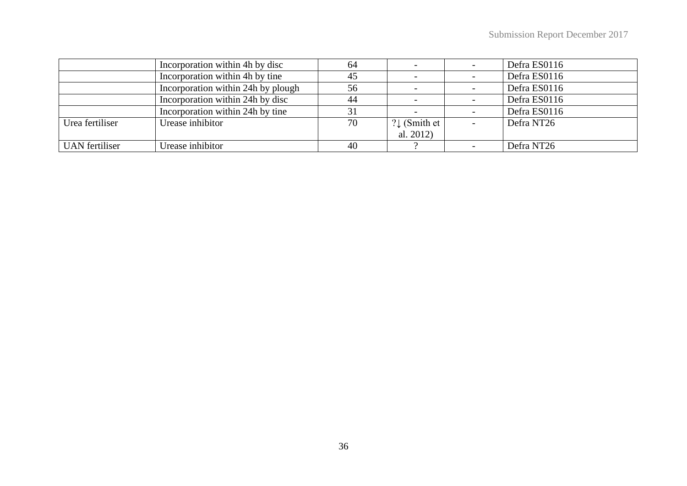|                       | Incorporation within 4h by disc    | 64 |                          | Defra ES0116 |
|-----------------------|------------------------------------|----|--------------------------|--------------|
|                       | Incorporation within 4h by tine    | 45 |                          | Defra ES0116 |
|                       | Incorporation within 24h by plough | 56 |                          | Defra ES0116 |
|                       | Incorporation within 24h by disc   | 44 |                          | Defra ES0116 |
|                       | Incorporation within 24h by tine   | 31 |                          | Defra ES0116 |
| Urea fertiliser       | Urease inhibitor                   | 70 | $? \downarrow$ (Smith et | Defra NT26   |
|                       |                                    |    | al. $2012$ )             |              |
| <b>UAN</b> fertiliser | Urease inhibitor                   | 40 |                          | Defra NT26   |